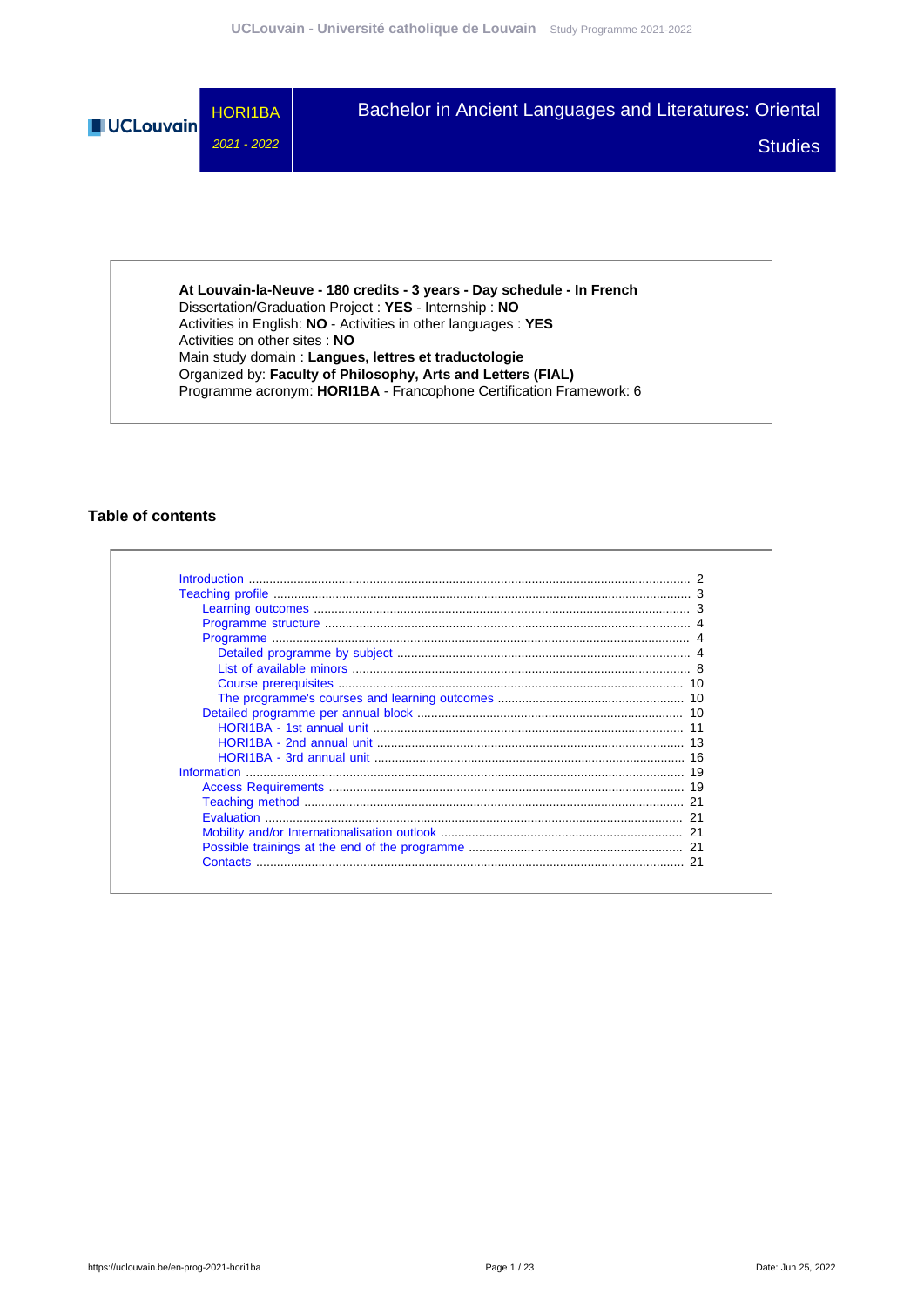

**At Louvain-la-Neuve - 180 credits - 3 years - Day schedule - In French** Dissertation/Graduation Project : **YES** - Internship : **NO** Activities in English: **NO** - Activities in other languages : **YES** Activities on other sites : **NO** Main study domain : **Langues, lettres et traductologie** Organized by: **Faculty of Philosophy, Arts and Letters (FIAL)** Programme acronym: **HORI1BA** - Francophone Certification Framework: 6

## **Table of contents**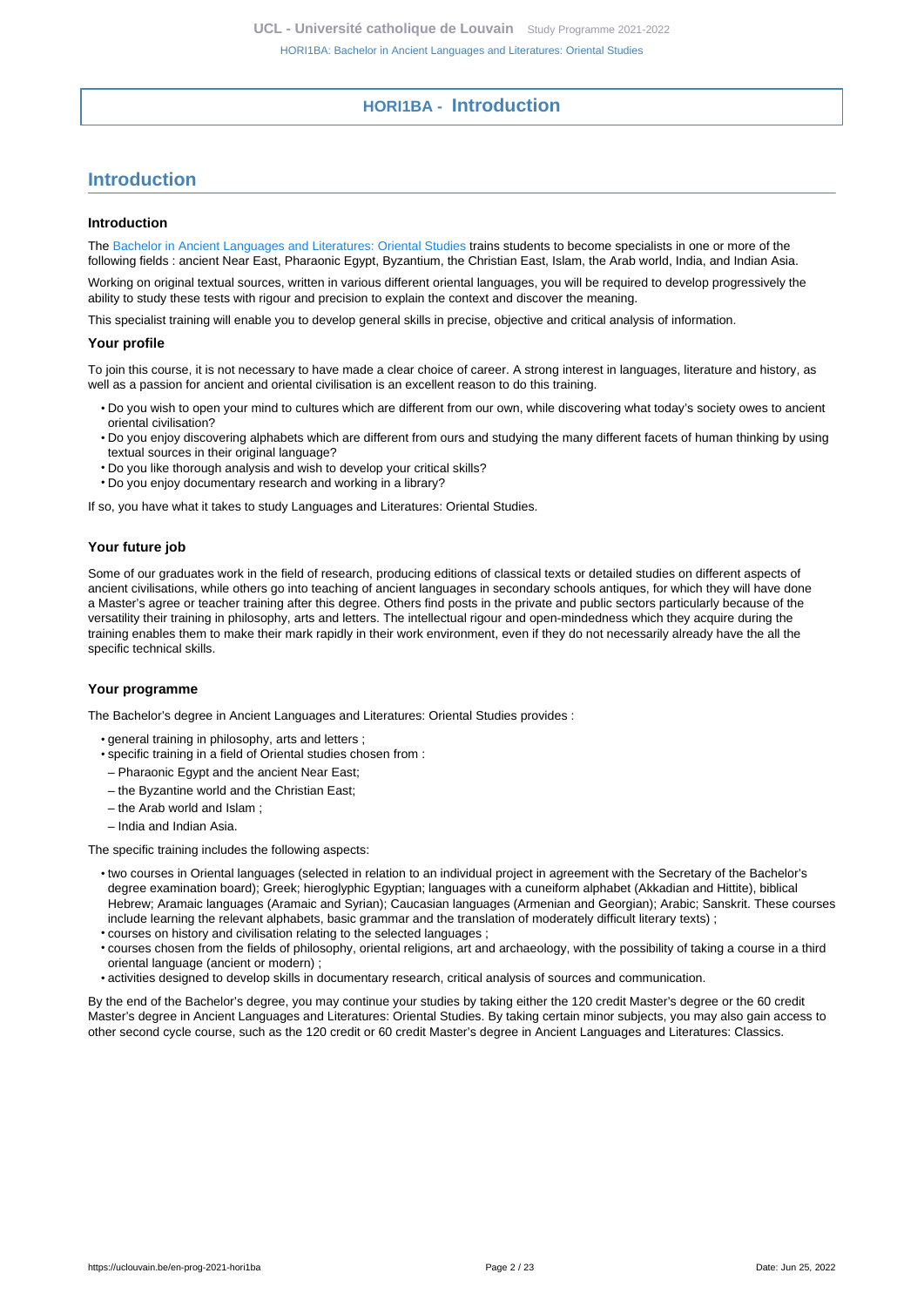# **HORI1BA - Introduction**

# <span id="page-1-0"></span>**Introduction**

#### **Introduction**

The [Bachelor in Ancient Languages and Literatures: Oriental Studies](https://uclouvain.be/en-prog-2021-hori1ba) trains students to become specialists in one or more of the following fields : ancient Near East, Pharaonic Egypt, Byzantium, the Christian East, Islam, the Arab world, India, and Indian Asia.

Working on original textual sources, written in various different oriental languages, you will be required to develop progressively the ability to study these tests with rigour and precision to explain the context and discover the meaning.

This specialist training will enable you to develop general skills in precise, objective and critical analysis of information.

#### **Your profile**

To join this course, it is not necessary to have made a clear choice of career. A strong interest in languages, literature and history, as well as a passion for ancient and oriental civilisation is an excellent reason to do this training.

- Do you wish to open your mind to cultures which are different from our own, while discovering what today's society owes to ancient oriental civilisation?
- Do you enjoy discovering alphabets which are different from ours and studying the many different facets of human thinking by using textual sources in their original language?
- Do you like thorough analysis and wish to develop your critical skills?
- Do you enjoy documentary research and working in a library?

If so, you have what it takes to study Languages and Literatures: Oriental Studies.

#### **Your future job**

Some of our graduates work in the field of research, producing editions of classical texts or detailed studies on different aspects of ancient civilisations, while others go into teaching of ancient languages in secondary schools antiques, for which they will have done a Master's agree or teacher training after this degree. Others find posts in the private and public sectors particularly because of the versatility their training in philosophy, arts and letters. The intellectual rigour and open-mindedness which they acquire during the training enables them to make their mark rapidly in their work environment, even if they do not necessarily already have the all the specific technical skills.

#### **Your programme**

The Bachelor's degree in Ancient Languages and Literatures: Oriental Studies provides :

- general training in philosophy, arts and letters ;
- specific training in a field of Oriental studies chosen from :
- Pharaonic Egypt and the ancient Near East;
- the Byzantine world and the Christian East;
- the Arab world and Islam ;
- India and Indian Asia.

The specific training includes the following aspects:

- two courses in Oriental languages (selected in relation to an individual project in agreement with the Secretary of the Bachelor's degree examination board); Greek; hieroglyphic Egyptian; languages with a cuneiform alphabet (Akkadian and Hittite), biblical Hebrew; Aramaic languages (Aramaic and Syrian); Caucasian languages (Armenian and Georgian); Arabic; Sanskrit. These courses include learning the relevant alphabets, basic grammar and the translation of moderately difficult literary texts) ;
- courses on history and civilisation relating to the selected languages ;
- courses chosen from the fields of philosophy, oriental religions, art and archaeology, with the possibility of taking a course in a third oriental language (ancient or modern) ;
- activities designed to develop skills in documentary research, critical analysis of sources and communication.

By the end of the Bachelor's degree, you may continue your studies by taking either the 120 credit Master's degree or the 60 credit Master's degree in Ancient Languages and Literatures: Oriental Studies. By taking certain minor subjects, you may also gain access to other second cycle course, such as the 120 credit or 60 credit Master's degree in Ancient Languages and Literatures: Classics.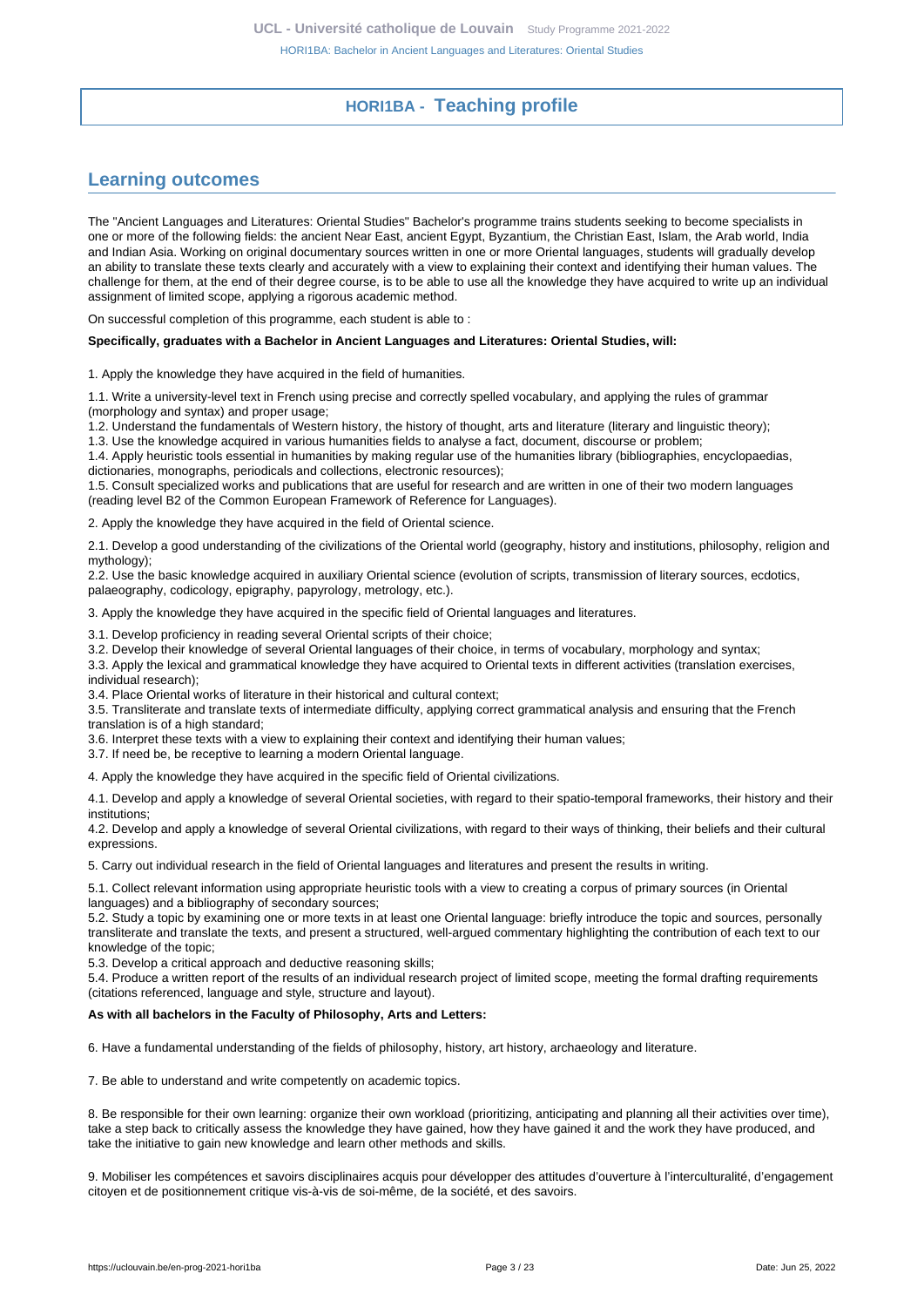# **HORI1BA - Teaching profile**

# <span id="page-2-1"></span><span id="page-2-0"></span>**Learning outcomes**

The "Ancient Languages and Literatures: Oriental Studies" Bachelor's programme trains students seeking to become specialists in one or more of the following fields: the ancient Near East, ancient Egypt, Byzantium, the Christian East, Islam, the Arab world, India and Indian Asia. Working on original documentary sources written in one or more Oriental languages, students will gradually develop an ability to translate these texts clearly and accurately with a view to explaining their context and identifying their human values. The challenge for them, at the end of their degree course, is to be able to use all the knowledge they have acquired to write up an individual assignment of limited scope, applying a rigorous academic method.

On successful completion of this programme, each student is able to :

#### **Specifically, graduates with a Bachelor in Ancient Languages and Literatures: Oriental Studies, will:**

1. Apply the knowledge they have acquired in the field of humanities.

1.1. Write a university-level text in French using precise and correctly spelled vocabulary, and applying the rules of grammar (morphology and syntax) and proper usage;

1.2. Understand the fundamentals of Western history, the history of thought, arts and literature (literary and linguistic theory);

1.3. Use the knowledge acquired in various humanities fields to analyse a fact, document, discourse or problem;

1.4. Apply heuristic tools essential in humanities by making regular use of the humanities library (bibliographies, encyclopaedias, dictionaries, monographs, periodicals and collections, electronic resources);

1.5. Consult specialized works and publications that are useful for research and are written in one of their two modern languages (reading level B2 of the Common European Framework of Reference for Languages).

2. Apply the knowledge they have acquired in the field of Oriental science.

2.1. Develop a good understanding of the civilizations of the Oriental world (geography, history and institutions, philosophy, religion and mythology);

2.2. Use the basic knowledge acquired in auxiliary Oriental science (evolution of scripts, transmission of literary sources, ecdotics, palaeography, codicology, epigraphy, papyrology, metrology, etc.).

3. Apply the knowledge they have acquired in the specific field of Oriental languages and literatures.

3.1. Develop proficiency in reading several Oriental scripts of their choice;

3.2. Develop their knowledge of several Oriental languages of their choice, in terms of vocabulary, morphology and syntax;

3.3. Apply the lexical and grammatical knowledge they have acquired to Oriental texts in different activities (translation exercises, individual research);

3.4. Place Oriental works of literature in their historical and cultural context;

3.5. Transliterate and translate texts of intermediate difficulty, applying correct grammatical analysis and ensuring that the French translation is of a high standard;

3.6. Interpret these texts with a view to explaining their context and identifying their human values;

3.7. If need be, be receptive to learning a modern Oriental language.

4. Apply the knowledge they have acquired in the specific field of Oriental civilizations.

4.1. Develop and apply a knowledge of several Oriental societies, with regard to their spatio-temporal frameworks, their history and their institutions;

4.2. Develop and apply a knowledge of several Oriental civilizations, with regard to their ways of thinking, their beliefs and their cultural expressions.

5. Carry out individual research in the field of Oriental languages and literatures and present the results in writing.

5.1. Collect relevant information using appropriate heuristic tools with a view to creating a corpus of primary sources (in Oriental languages) and a bibliography of secondary sources;

5.2. Study a topic by examining one or more texts in at least one Oriental language: briefly introduce the topic and sources, personally transliterate and translate the texts, and present a structured, well-argued commentary highlighting the contribution of each text to our knowledge of the topic;

5.3. Develop a critical approach and deductive reasoning skills;

5.4. Produce a written report of the results of an individual research project of limited scope, meeting the formal drafting requirements (citations referenced, language and style, structure and layout).

#### **As with all bachelors in the Faculty of Philosophy, Arts and Letters:**

6. Have a fundamental understanding of the fields of philosophy, history, art history, archaeology and literature.

7. Be able to understand and write competently on academic topics.

8. Be responsible for their own learning: organize their own workload (prioritizing, anticipating and planning all their activities over time), take a step back to critically assess the knowledge they have gained, how they have gained it and the work they have produced, and take the initiative to gain new knowledge and learn other methods and skills.

9. Mobiliser les compétences et savoirs disciplinaires acquis pour développer des attitudes d'ouverture à l'interculturalité, d'engagement citoyen et de positionnement critique vis-à-vis de soi-même, de la société, et des savoirs.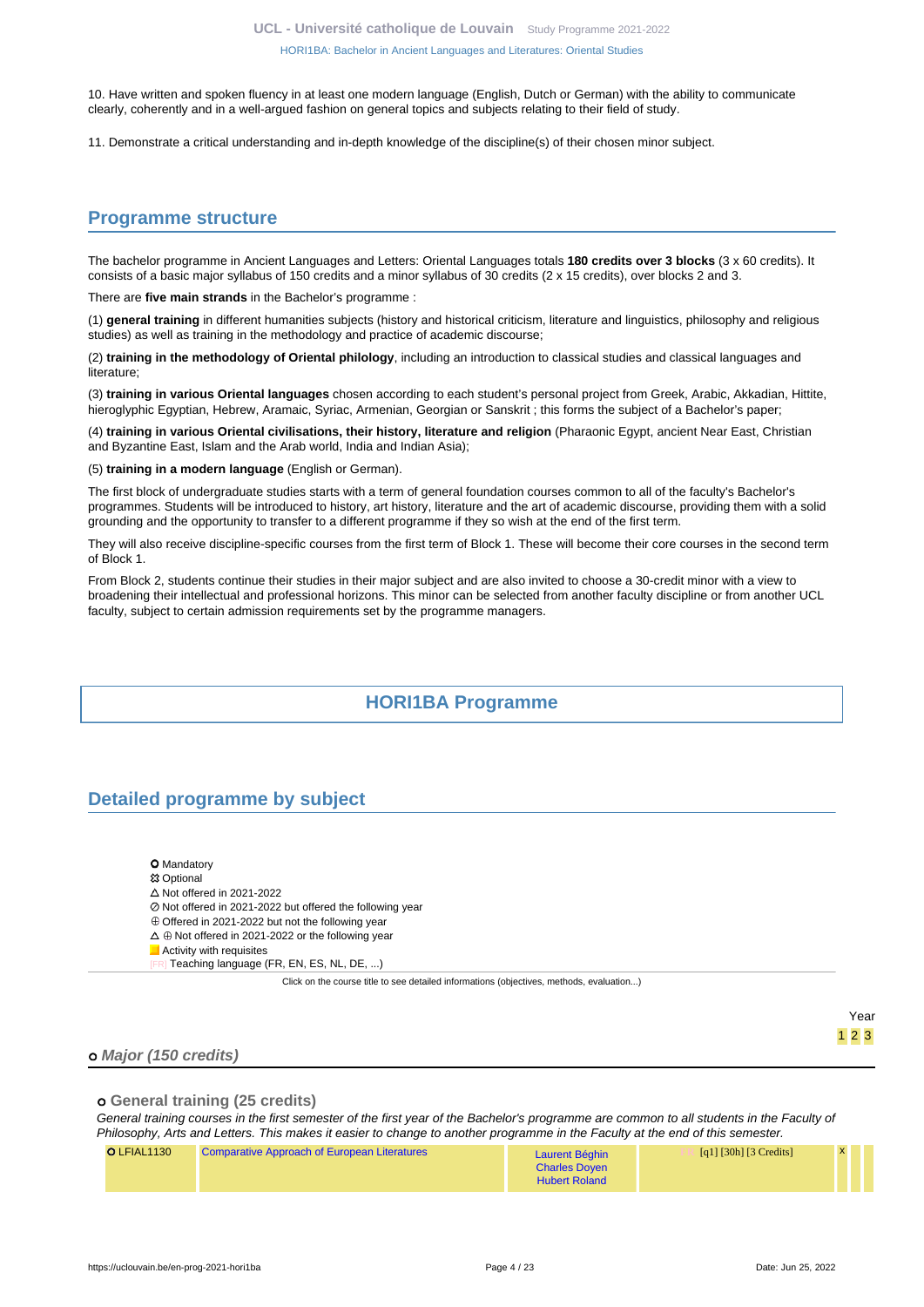10. Have written and spoken fluency in at least one modern language (English, Dutch or German) with the ability to communicate clearly, coherently and in a well-argued fashion on general topics and subjects relating to their field of study.

11. Demonstrate a critical understanding and in-depth knowledge of the discipline(s) of their chosen minor subject.

# <span id="page-3-0"></span>**Programme structure**

The bachelor programme in Ancient Languages and Letters: Oriental Languages totals **180 credits over 3 blocks** (3 x 60 credits). It consists of a basic major syllabus of 150 credits and a minor syllabus of 30 credits (2 x 15 credits), over blocks 2 and 3.

There are **five main strands** in the Bachelor's programme :

(1) **general training** in different humanities subjects (history and historical criticism, literature and linguistics, philosophy and religious studies) as well as training in the methodology and practice of academic discourse;

(2) **training in the methodology of Oriental philology**, including an introduction to classical studies and classical languages and literature;

(3) **training in various Oriental languages** chosen according to each student's personal project from Greek, Arabic, Akkadian, Hittite, hieroglyphic Egyptian, Hebrew, Aramaic, Syriac, Armenian, Georgian or Sanskrit; this forms the subject of a Bachelor's paper;

(4) **training in various Oriental civilisations, their history, literature and religion** (Pharaonic Egypt, ancient Near East, Christian and Byzantine East, Islam and the Arab world, India and Indian Asia);

(5) **training in a modern language** (English or German).

The first block of undergraduate studies starts with a term of general foundation courses common to all of the faculty's Bachelor's programmes. Students will be introduced to history, art history, literature and the art of academic discourse, providing them with a solid grounding and the opportunity to transfer to a different programme if they so wish at the end of the first term.

They will also receive discipline-specific courses from the first term of Block 1. These will become their core courses in the second term of Block 1.

From Block 2, students continue their studies in their major subject and are also invited to choose a 30-credit minor with a view to broadening their intellectual and professional horizons. This minor can be selected from another faculty discipline or from another UCL faculty, subject to certain admission requirements set by the programme managers.

# **HORI1BA Programme**

# <span id="page-3-2"></span><span id="page-3-1"></span>**Detailed programme by subject**

| <b>O</b> Mandatory |
|--------------------|
|                    |

**83 Optional** 

 $\triangle$  Not offered in 2021-2022

- Not offered in 2021-2022 but offered the following year
- $\oplus$  Offered in 2021-2022 but not the following year
- $\Delta \oplus$  Not offered in 2021-2022 or the following year

**Activity with requisites** Teaching language (FR, EN, ES, NL, DE, ...)

Click on the course title to see detailed informations (objectives, methods, evaluation...)

Year 1 2 3

## **Major (150 credits)**

## **General training (25 credits)**

General training courses in the first semester of the first year of the Bachelor's programme are common to all students in the Faculty of Philosophy, Arts and Letters. This makes it easier to change to another programme in the Faculty at the end of this semester.

| O LFIAL1130 | <b>Comparative Approach of European Literatures</b> | Laurent Béghin       | [q1] [30h] [3 Credits] | <b>X</b> |  |
|-------------|-----------------------------------------------------|----------------------|------------------------|----------|--|
|             |                                                     | <b>Charles Doyen</b> |                        |          |  |
|             |                                                     | <b>Hubert Roland</b> |                        |          |  |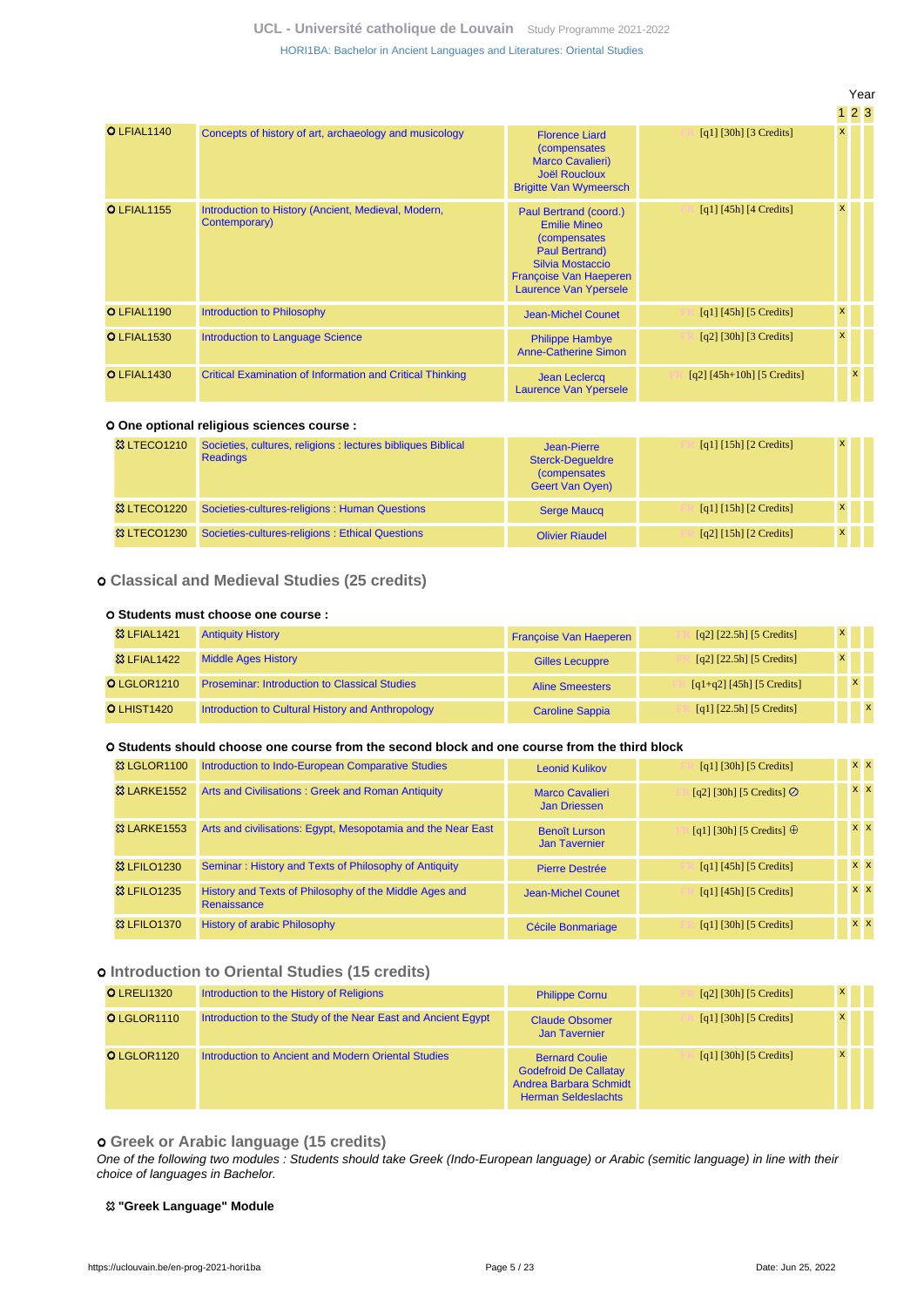|                    |                                                                      |                                                                                                                                                                       |                                       | .                  |              |  |
|--------------------|----------------------------------------------------------------------|-----------------------------------------------------------------------------------------------------------------------------------------------------------------------|---------------------------------------|--------------------|--------------|--|
| O LFIAL1140        | Concepts of history of art, archaeology and musicology               | <b>Florence Liard</b><br>(compensates<br><b>Marco Cavalieri)</b><br><b>Joël Roucloux</b><br><b>Brigitte Van Wymeersch</b>                                             | $\lceil q_1 \rceil$ [30h] [3 Credits] | $\mathsf{x}$       |              |  |
| <b>O</b> LFIAL1155 | Introduction to History (Ancient, Medieval, Modern,<br>Contemporary) | Paul Bertrand (coord.)<br><b>Emilie Mineo</b><br><i>(compensates)</i><br>Paul Bertrand)<br>Silvia Mostaccio<br>Françoise Van Haeperen<br><b>Laurence Van Ypersele</b> | $\lceil q_1 \rceil$ [45h] [4 Credits] | $\mathsf{x}$       |              |  |
| O LFIAL1190        | Introduction to Philosophy                                           | <b>Jean-Michel Counet</b>                                                                                                                                             | $\lceil q_1 \rceil$ [45h] [5 Credits] | $\pmb{\mathsf{x}}$ |              |  |
| <b>O LFIAL1530</b> | <b>Introduction to Language Science</b>                              | <b>Philippe Hambye</b><br><b>Anne-Catherine Simon</b>                                                                                                                 | $[q2]$ [30h] [3 Credits]              | $\pmb{\mathsf{x}}$ |              |  |
| O LFIAL1430        | <b>Critical Examination of Information and Critical Thinking</b>     | Jean Leclercq<br><b>Laurence Van Ypersele</b>                                                                                                                         | $[q2] [45h+10h] [5 Credits]$          |                    | $\mathsf{x}$ |  |

#### **One optional religious sciences course :**

| <b>83 LTECO1210</b>    | Societies, cultures, religions : lectures bibliques Biblical<br><b>Readings</b> | Jean-Pierre<br><b>Sterck-Dequeldre</b><br><i>(compensates)</i><br><b>Geert Van Oven)</b> | [q1] [15h] [2 Credits]                                | $\mathsf{x}$ |  |
|------------------------|---------------------------------------------------------------------------------|------------------------------------------------------------------------------------------|-------------------------------------------------------|--------------|--|
| <b>&amp; LTECO1220</b> | Societies-cultures-religions: Human Questions                                   | <b>Serge Maucg</b>                                                                       | [q1] $[15h]$ [2 Credits]                              | $\mathbf{x}$ |  |
| <b>&amp; LTECO1230</b> | Societies-cultures-religions : Ethical Questions                                | <b>Olivier Riaudel</b>                                                                   | $\lceil q^2 \rceil$ [15h] $\lceil 2 \right]$ Credits] | $\mathsf{x}$ |  |

#### **Classical and Medieval Studies (25 credits)**

#### **Students must choose one course :**

| <b>&amp;3 LFIAL1421</b> | <b>Antiquity History</b>                             | <b>Françoise Van Haeperen</b> | $[q2]$ $[22.5h]$ $[5$ Credits] | $\mathsf{x}$ |  |
|-------------------------|------------------------------------------------------|-------------------------------|--------------------------------|--------------|--|
| <b>&amp;3 LFIAL1422</b> | <b>Middle Ages History</b>                           | <b>Gilles Lecuppre</b>        | $[q2]$ $[22.5h]$ $[5$ Credits] | $\mathsf{x}$ |  |
| O LGLOR1210             | <b>Proseminar: Introduction to Classical Studies</b> | <b>Aline Smeesters</b>        | [q1+q2] [45h] [5 Credits]      | $\mathbf{x}$ |  |
| <b>O LHIST1420</b>      | Introduction to Cultural History and Anthropology    | <b>Caroline Sappia</b>        | [q1] $[22.5h]$ [5 Credits]     |              |  |

#### **Students should choose one course from the second block and one course from the third block**

| 83 LGLOR1100            | Introduction to Indo-European Comparative Studies                     | <b>Leonid Kulikov</b>                         | $\lceil q_1 \rceil$ [30h] [5 Credits] | $x \times$ |  |
|-------------------------|-----------------------------------------------------------------------|-----------------------------------------------|---------------------------------------|------------|--|
| <b>&amp; LARKE1552</b>  | Arts and Civilisations: Greek and Roman Antiquity                     | <b>Marco Cavalieri</b><br><b>Jan Driessen</b> | [q2] [30h] [5 Credits] $\odot$        | $x \times$ |  |
| <b>&amp;3 LARKE1553</b> | Arts and civilisations: Egypt, Mesopotamia and the Near East          | <b>Benoît Lurson</b><br><b>Jan Tavernier</b>  | [q1] [30h] [5 Credits] $\oplus$       | $x \times$ |  |
| <b>83 LFILO1230</b>     | Seminar: History and Texts of Philosophy of Antiquity                 | Pierre Destrée                                | $[q1]$ [45h] [5 Credits]              | $x \times$ |  |
| <b>83 LFILO1235</b>     | History and Texts of Philosophy of the Middle Ages and<br>Renaissance | Jean-Michel Counet                            | $[q1]$ [45h] [5 Credits]              | $x \times$ |  |
| <b>83 LFILO1370</b>     | <b>History of arabic Philosophy</b>                                   | Cécile Bonmariage                             | $\lceil q_1 \rceil$ [30h] [5 Credits] | $x \times$ |  |

### **Introduction to Oriental Studies (15 credits)**

| <b>O</b> LRELI1320 | Introduction to the History of Religions                     | <b>Philippe Cornu</b>                                                                                         | $\lceil q2 \rceil$ [30h] [5 Credits] | $\mathsf{x}$ |  |
|--------------------|--------------------------------------------------------------|---------------------------------------------------------------------------------------------------------------|--------------------------------------|--------------|--|
| O LGLOR1110        | Introduction to the Study of the Near East and Ancient Egypt | <b>Claude Obsomer</b><br><b>Jan Tavernier</b>                                                                 | [q1] [30h] [5 Credits]               | $\mathsf{x}$ |  |
| O LGLOR1120        | Introduction to Ancient and Modern Oriental Studies          | <b>Bernard Coulie</b><br><b>Godefroid De Callatay</b><br>Andrea Barbara Schmidt<br><b>Herman Seldeslachts</b> | [q1] [30h] [5 Credits]               | $\mathbf{x}$ |  |

### **Greek or Arabic language (15 credits)**

One of the following two modules : Students should take Greek (Indo-European language) or Arabic (semitic language) in line with their choice of languages in Bachelor.

#### **"Greek Language" Module**

Year 1 2 3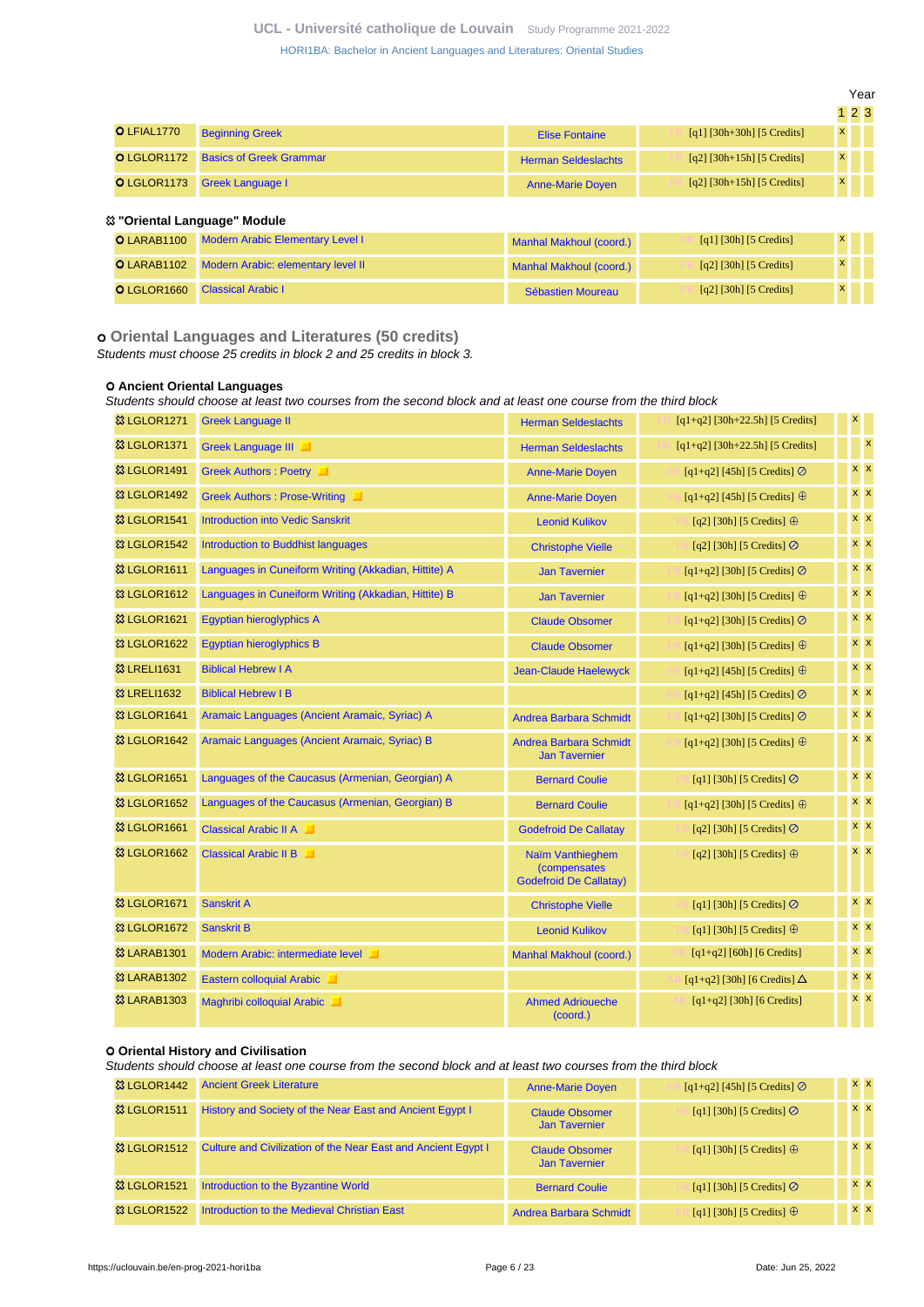**UCL - Université catholique de Louvain** [Study Programme 2021-2022](https://uclouvain.be/en/study-programme)

[HORI1BA: Bachelor in Ancient Languages and Literatures: Oriental Studies](https://uclouvain.be/en-prog-2021-hori1ba.html)

|             |                                            |                            |                              | $1\,2\,3$    |  |
|-------------|--------------------------------------------|----------------------------|------------------------------|--------------|--|
| O LFIAL1770 | <b>Beginning Greek</b>                     | <b>Elise Fontaine</b>      | [q1] $[30h+30h]$ [5 Credits] | $\mathsf{x}$ |  |
|             | <b>O LGLOR1172</b> Basics of Greek Grammar | <b>Herman Seldeslachts</b> | $[q2] [30h+15h] [5 Credits]$ | $\mathsf{x}$ |  |
|             | O LGLOR1173 Greek Language I               | <b>Anne-Marie Doyen</b>    | $[q2] [30h+15h] [5 Credits]$ | $\mathsf{x}$ |  |

### **"Oriental Language" Module**

| <b>O LARAB1100</b> Modern Arabic Elementary Level I | Manhal Makhoul (coord.) | [q1] [30h] [5 Credits] | $\mathsf{x}$ |  |
|-----------------------------------------------------|-------------------------|------------------------|--------------|--|
| O LARAB1102 Modern Arabic: elementary level II      | Manhal Makhoul (coord.) | [q2] [30h] [5 Credits] | $\mathsf{x}$ |  |
| <b>O</b> LGLOR1660 Classical Arabic I               | Sébastien Moureau       | [q2] [30h] [5 Credits] | $\mathsf{x}$ |  |

 **Oriental Languages and Literatures (50 credits)**

Students must choose 25 credits in block 2 and 25 credits in block 3.

#### **Ancient Oriental Languages**

Students should choose at least two courses from the second block and at least one course from the third block

| <b>&amp; LGLOR1271</b>  | <b>Greek Language II</b>                             | <b>Herman Seldeslachts</b>                                                | $[q1+q2]$ [30h+22.5h] [5 Credits]    | $\pmb{\mathsf{x}}$ |  |
|-------------------------|------------------------------------------------------|---------------------------------------------------------------------------|--------------------------------------|--------------------|--|
| <b>&amp; LGLOR1371</b>  | <b>Greek Language III</b><br>ш                       | <b>Herman Seldeslachts</b>                                                | $[q1+q2]$ [30h+22.5h] [5 Credits]    | $\mathbf{x}$       |  |
| <b>83 LGLOR1491</b>     | Greek Authors : Poetry                               | <b>Anne-Marie Doyen</b>                                                   | [q1+q2] [45h] [5 Credits] $\oslash$  | <b>x</b> x         |  |
| <b>&amp; LGLOR1492</b>  | Greek Authors : Prose-Writing                        | <b>Anne-Marie Doven</b>                                                   | [q1+q2] [45h] [5 Credits] $\oplus$   | $x \overline{x}$   |  |
| <b>&amp; LGLOR1541</b>  | <b>Introduction into Vedic Sanskrit</b>              | <b>Leonid Kulikov</b>                                                     | [q2] [30h] [5 Credits] $\oplus$      | $x \, x$           |  |
| <b>&amp; LGLOR1542</b>  | <b>Introduction to Buddhist languages</b>            | <b>Christophe Vielle</b>                                                  | [q2] [30h] [5 Credits] $\odot$       | $x \, x$           |  |
| <b>&amp; LGLOR1611</b>  | Languages in Cuneiform Writing (Akkadian, Hittite) A | <b>Jan Tavernier</b>                                                      | [q1+q2] [30h] [5 Credits] $\oslash$  | $x \, x$           |  |
| <b>&amp; LGLOR1612</b>  | Languages in Cuneiform Writing (Akkadian, Hittite) B | <b>Jan Tavernier</b>                                                      | $[q1+q2]$ [30h] [5 Credits] $\oplus$ | $x \times$         |  |
| <sup>8</sup> LGLOR1621  | Egyptian hieroglyphics A                             | <b>Claude Obsomer</b>                                                     | [q1+q2] [30h] [5 Credits] $\oslash$  | <b>x</b> x         |  |
| <b>83 LGLOR1622</b>     | <b>Egyptian hieroglyphics B</b>                      | <b>Claude Obsomer</b>                                                     | [q1+q2] [30h] [5 Credits] $\oplus$   | $x \mid x$         |  |
| <b>83 LRELI1631</b>     | <b>Biblical Hebrew I A</b>                           | <b>Jean-Claude Haelewyck</b>                                              | $[q1+q2]$ [45h] [5 Credits] $\oplus$ | $x \times$         |  |
| <b>&amp; LRELI1632</b>  | <b>Biblical Hebrew I B</b>                           |                                                                           | [q1+q2] [45h] [5 Credits] $\oslash$  | $x \, x$           |  |
| <b>&amp; LGLOR1641</b>  | Aramaic Languages (Ancient Aramaic, Syriac) A        | <b>Andrea Barbara Schmidt</b>                                             | [q1+q2] [30h] [5 Credits] $\oslash$  | <b>x</b> x         |  |
| <b>&amp; LGLOR1642</b>  | Aramaic Languages (Ancient Aramaic, Syriac) B        | <b>Andrea Barbara Schmidt</b><br><b>Jan Tavernier</b>                     | [q1+q2] [30h] [5 Credits] $\oplus$   | <b>x</b> x         |  |
| <b>83 LGLOR1651</b>     | Languages of the Caucasus (Armenian, Georgian) A     | <b>Bernard Coulie</b>                                                     | [q1] [30h] [5 Credits] $\odot$       | $x \, x$           |  |
| <b>&amp; LGLOR1652</b>  | Languages of the Caucasus (Armenian, Georgian) B     | <b>Bernard Coulie</b>                                                     | $[q1+q2]$ [30h] [5 Credits] $\oplus$ | <b>x</b> x         |  |
| <b>&amp; LGLOR1661</b>  | Classical Arabic II A                                | <b>Godefroid De Callatay</b>                                              | [q2] [30h] [5 Credits] Ø             | $x \, x$           |  |
| <b>83 LGLOR1662</b>     | <b>Classical Arabic II B</b>                         | Naïm Vanthieghem<br><i>(compensates)</i><br><b>Godefroid De Callatay)</b> | [q2] [30h] [5 Credits] $\oplus$      | $x \times$         |  |
| <b>&amp; LGLOR1671</b>  | Sanskrit A                                           | <b>Christophe Vielle</b>                                                  | [q1] [30h] [5 Credits] Ø             | $x \, x$           |  |
| <b>&amp; LGLOR1672</b>  | <b>Sanskrit B</b>                                    | <b>Leonid Kulikov</b>                                                     | [q1] [30h] [5 Credits] $\oplus$      | $x \, x$           |  |
| <b>&amp; LARAB1301</b>  | Modern Arabic: intermediate level                    | Manhal Makhoul (coord.)                                                   | $[q1+q2]$ [60h] [6 Credits]          | <b>x</b> x         |  |
| <b>83 LARAB1302</b>     | Eastern colloquial Arabic                            |                                                                           | [q1+q2] [30h] [6 Credits] $\Delta$   | <b>x x</b>         |  |
| <b>&amp;3 LARAB1303</b> | Maghribi colloquial Arabic                           | <b>Ahmed Adrioueche</b><br>(coord.)                                       | $[q1+q2]$ [30h] [6 Credits]          | $x \times$         |  |

## **Oriental History and Civilisation**

Students should choose at least one course from the second block and at least two courses from the third block

| <sup>33</sup> LGLOR1442 | <b>Ancient Greek Literature</b>                               | <b>Anne-Marie Doyen</b>                       | $[q1+q2]$ [45h] [5 Credits] $\oslash$ | <b>XX</b>  |  |
|-------------------------|---------------------------------------------------------------|-----------------------------------------------|---------------------------------------|------------|--|
| <b>&amp; LGLOR1511</b>  | History and Society of the Near East and Ancient Egypt I      | <b>Claude Obsomer</b><br><b>Jan Tavernier</b> | [q1] [30h] [5 Credits] $\oslash$      | $x \times$ |  |
| <b>&amp; LGLOR1512</b>  | Culture and Civilization of the Near East and Ancient Egypt I | <b>Claude Obsomer</b><br><b>Jan Tavernier</b> | [q1] [30h] [5 Credits] $\oplus$       | $X$ $X$    |  |
| <b>&amp; LGLOR1521</b>  | Introduction to the Byzantine World                           | <b>Bernard Coulie</b>                         | [q1] [30h] [5 Credits] $\oslash$      | <b>x</b> x |  |
| <b>&amp; LGLOR1522</b>  | Introduction to the Medieval Christian East                   | Andrea Barbara Schmidt                        | [q1] [30h] [5 Credits] $\oplus$       | <b>x</b> x |  |

Year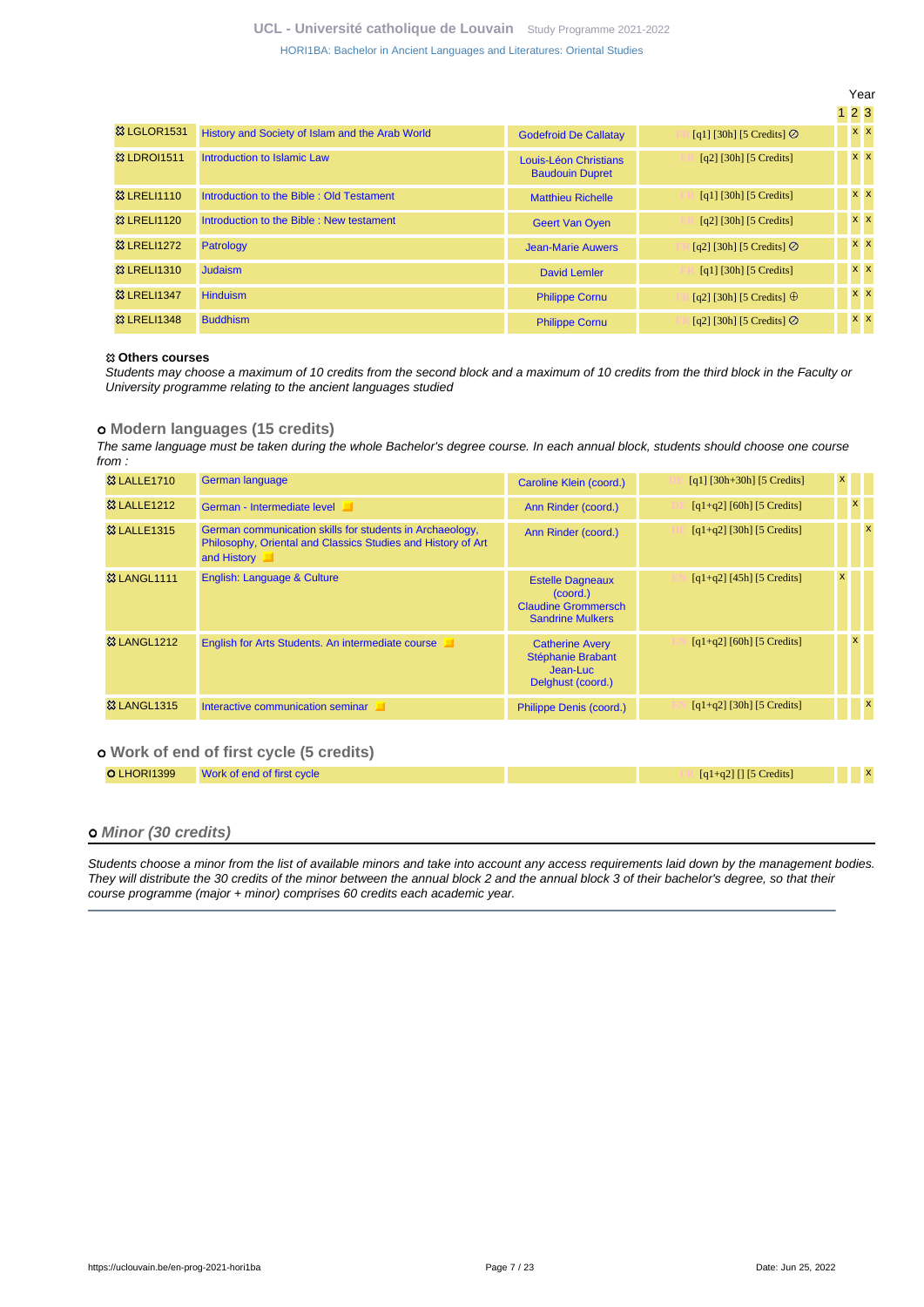|                        |                                                 |                                                 |                                                        | Year       |            |
|------------------------|-------------------------------------------------|-------------------------------------------------|--------------------------------------------------------|------------|------------|
|                        |                                                 |                                                 |                                                        | 123        |            |
| <b>&amp; LGLOR1531</b> | History and Society of Islam and the Arab World | <b>Godefroid De Callatay</b>                    | [q1] [30h] [5 Credits] $\odot$                         |            | $x \times$ |
| <b>23 LDROI1511</b>    | Introduction to Islamic Law                     | Louis-Léon Christians<br><b>Baudouin Dupret</b> | $[q2]$ [30h] [5 Credits]                               |            | $x \times$ |
| <b>&amp; LRELI1110</b> | Introduction to the Bible: Old Testament        | <b>Matthieu Richelle</b>                        | $[q1]$ [30h] [5 Credits]                               |            | $x \times$ |
| <b>&amp; LRELI1120</b> | Introduction to the Bible: New testament        | <b>Geert Van Oven</b>                           | $[q2]$ [30h] [5 Credits]                               |            | $x \mid x$ |
| <b>83 LRELI1272</b>    | Patrology                                       | <b>Jean-Marie Auwers</b>                        | [q2] [30h] [5 Credits] $\oslash$                       | $x \times$ |            |
| <b>&amp; LRELI1310</b> | <b>Judaism</b>                                  | David Lemler                                    | $\lceil q_1 \rceil \lceil 30h \rceil \lceil 5 \right]$ |            | $x \times$ |
| <b>83 LRELI1347</b>    | <b>Hinduism</b>                                 | <b>Philippe Cornu</b>                           | [q2] [30h] [5 Credits] $\oplus$                        |            | $x \, x$   |
| <b>&amp; LRELI1348</b> | <b>Buddhism</b>                                 | <b>Philippe Cornu</b>                           | [q2] [30h] [5 Credits] $\oslash$                       |            | $x \times$ |

#### **Others courses**

Students may choose a maximum of 10 credits from the second block and a maximum of 10 credits from the third block in the Faculty or University programme relating to the ancient languages studied

#### **Modern languages (15 credits)**

The same language must be taken during the whole Bachelor's degree course. In each annual block, students should choose one course from :

| <b>&amp; LALLE1710</b><br>German language<br>$[q1]$ [30h+30h] [5 Credits]<br>Caroline Klein (coord.)                                                                                                                    |          |              |
|-------------------------------------------------------------------------------------------------------------------------------------------------------------------------------------------------------------------------|----------|--------------|
| <b>83 LALLE1212</b><br>$[q1+q2]$ [60h] [5 Credits]<br>German - Intermediate level<br>Ann Rinder (coord.)                                                                                                                | <b>X</b> |              |
| <b>&amp; LALLE1315</b><br>$[q1+q2]$ [30h] [5 Credits]<br>German communication skills for students in Archaeology,<br>Ann Rinder (coord.)<br>Philosophy, Oriental and Classics Studies and History of Art<br>and History |          | $\mathsf{x}$ |
| <b>&amp; LANGL1111</b><br>English: Language & Culture<br>$[q1+q2]$ [45h] [5 Credits]<br><b>Estelle Dagneaux</b><br>(coord.)<br><b>Claudine Grommersch</b><br><b>Sandrine Mulkers</b>                                    |          |              |
| <b>&amp; LANGL1212</b><br>$[q1+q2]$ [60h] [5 Credits]<br>English for Arts Students. An intermediate course<br><b>Catherine Avery</b><br>Stéphanie Brabant<br>Jean-Luc<br>Delghust (coord.)                              |          |              |
| <b>&amp; LANGL1315</b><br>$[q1+q2]$ [30h] [5 Credits]<br>Interactive communication seminar<br>Philippe Denis (coord.)                                                                                                   |          | $\mathsf{x}$ |

## **Work of end of first cycle (5 credits)**

| <b>OLHORI1399</b> Work of end of first cycle | $[q1+q2]$ [] [5 Credits] |  |  |
|----------------------------------------------|--------------------------|--|--|

#### **Minor (30 credits)**

Students choose a minor from the list of available minors and take into account any access requirements laid down by the management bodies. They will distribute the 30 credits of the minor between the annual block 2 and the annual block 3 of their bachelor's degree, so that their course programme (major + minor) comprises 60 credits each academic year.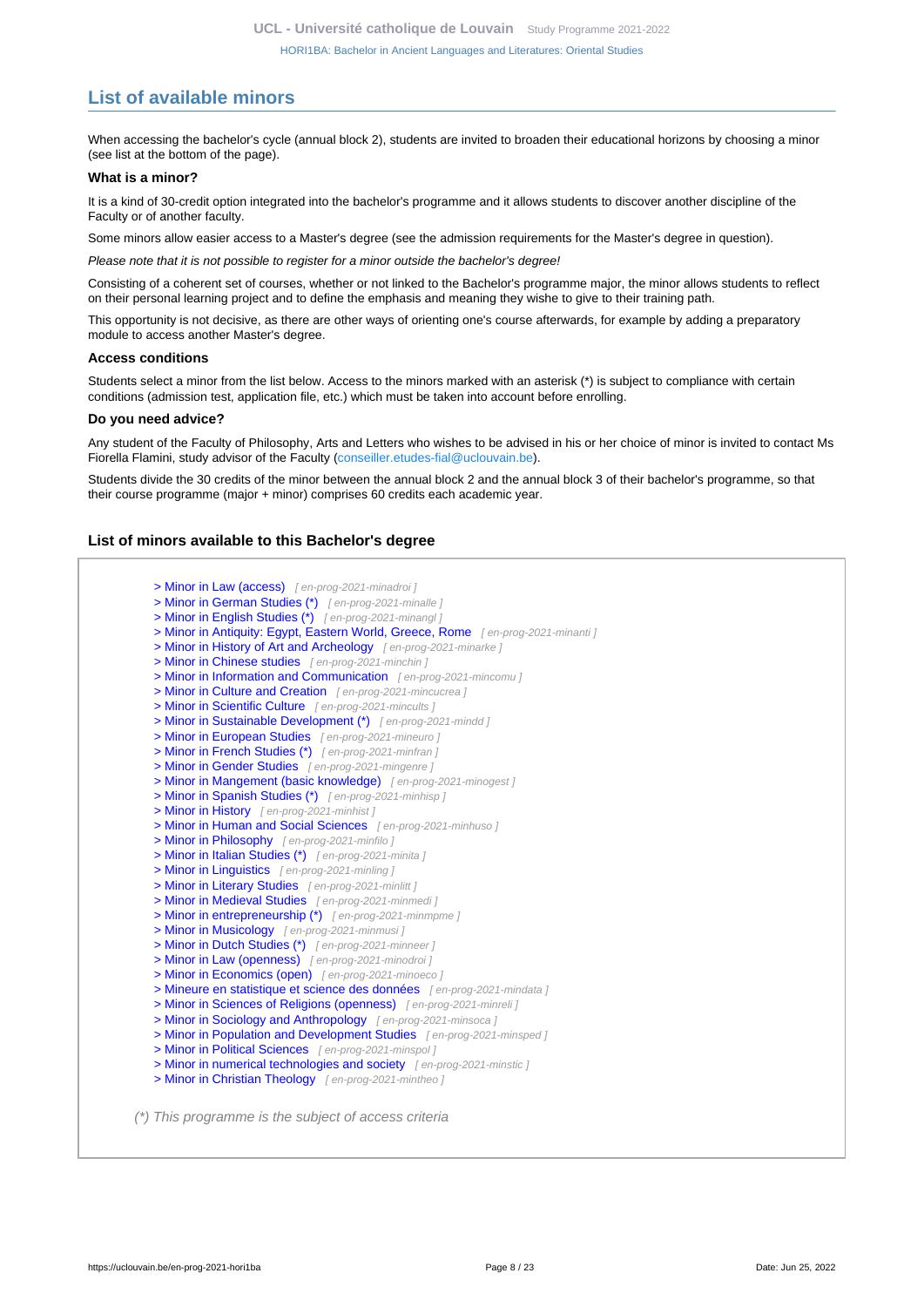# <span id="page-7-0"></span>**List of available minors**

When accessing the bachelor's cycle (annual block 2), students are invited to broaden their educational horizons by choosing a minor (see list at the bottom of the page).

#### **What is a minor?**

It is a kind of 30-credit option integrated into the bachelor's programme and it allows students to discover another discipline of the Faculty or of another faculty.

Some minors allow easier access to a Master's degree (see the admission requirements for the Master's degree in question).

Please note that it is not possible to register for a minor outside the bachelor's degree!

Consisting of a coherent set of courses, whether or not linked to the Bachelor's programme major, the minor allows students to reflect on their personal learning project and to define the emphasis and meaning they wishe to give to their training path.

This opportunity is not decisive, as there are other ways of orienting one's course afterwards, for example by adding a preparatory module to access another Master's degree.

#### **Access conditions**

Students select a minor from the list below. Access to the minors marked with an asterisk (\*) is subject to compliance with certain conditions (admission test, application file, etc.) which must be taken into account before enrolling.

#### **Do you need advice?**

Any student of the Faculty of Philosophy, Arts and Letters who wishes to be advised in his or her choice of minor is invited to contact Ms Fiorella Flamini, study advisor of the Faculty ([conseiller.etudes-fial@uclouvain.be\)](https://uclouvain.be/mailto:conseiller.etudes-fial@uclouvain.be).

Students divide the 30 credits of the minor between the annual block 2 and the annual block 3 of their bachelor's programme, so that their course programme (major + minor) comprises 60 credits each academic year.

#### **List of minors available to this Bachelor's degree**

[> Minor in Law \(access\)](en-prog-2021-minadroi) [ en-prog-2021-minadroi ] [> Minor in German Studies \(\\*\)](en-prog-2021-minalle) [en-prog-2021-minalle ] [> Minor in English Studies \(\\*\)](en-prog-2021-minangl) [ en-prog-2021-minangl ] [> Minor in Antiquity: Egypt, Eastern World, Greece, Rome](en-prog-2021-minanti) [en-prog-2021-minanti] [> Minor in History of Art and Archeology](en-prog-2021-minarke) [en-prog-2021-minarke] [> Minor in Chinese studies](en-prog-2021-minchin) [en-prog-2021-minchin] [> Minor in Information and Communication](en-prog-2021-mincomu) [en-prog-2021-mincomu] [> Minor in Culture and Creation](en-prog-2021-mincucrea) [en-prog-2021-mincucrea] [> Minor in Scientific Culture](en-prog-2021-mincults) [ en-prog-2021-mincults ] [> Minor in Sustainable Development \(\\*\)](en-prog-2021-mindd) [en-prog-2021-mindd ] [> Minor in European Studies](en-prog-2021-mineuro) [en-prog-2021-mineuro ] [> Minor in French Studies \(\\*\)](en-prog-2021-minfran) [ en-prog-2021-minfran ] [> Minor in Gender Studies](en-prog-2021-mingenre) [en-prog-2021-mingenre] [> Minor in Mangement \(basic knowledge\)](en-prog-2021-minogest) [en-prog-2021-minogest] [> Minor in Spanish Studies \(\\*\)](en-prog-2021-minhisp) [ en-prog-2021-minhisp ] [> Minor in History](en-prog-2021-minhist) [en-prog-2021-minhist] [> Minor in Human and Social Sciences](en-prog-2021-minhuso) [en-prog-2021-minhuso] [> Minor in Philosophy](en-prog-2021-minfilo) [en-prog-2021-minfilo ] [> Minor in Italian Studies \(\\*\)](en-prog-2021-minita) [en-prog-2021-minita ] [> Minor in Linguistics](en-prog-2021-minling) [en-prog-2021-minling] [> Minor in Literary Studies](en-prog-2021-minlitt) [ en-prog-2021-minlitt ] [> Minor in Medieval Studies](en-prog-2021-minmedi) [en-prog-2021-minmedi] [> Minor in entrepreneurship \(\\*\)](en-prog-2021-minmpme) [ en-prog-2021-minmpme ] [> Minor in Musicology](en-prog-2021-minmusi) [ en-prog-2021-minmusi ] [> Minor in Dutch Studies \(\\*\)](en-prog-2021-minneer) [ en-prog-2021-minneer ] [> Minor in Law \(openness\)](en-prog-2021-minodroi) [en-prog-2021-minodroi] [> Minor in Economics \(open\)](en-prog-2021-minoeco) [ en-prog-2021-minoeco ] [> Mineure en statistique et science des données](en-prog-2021-mindata) [ en-prog-2021-mindata ] [> Minor in Sciences of Religions \(openness\)](en-prog-2021-minreli) [en-prog-2021-minreli] [> Minor in Sociology and Anthropology](en-prog-2021-minsoca) [en-prog-2021-minsoca] [> Minor in Population and Development Studies](en-prog-2021-minsped) [en-prog-2021-minsped] [> Minor in Political Sciences](en-prog-2021-minspol) [ en-prog-2021-minspol ] [> Minor in numerical technologies and society](en-prog-2021-minstic) [en-prog-2021-minstic] [> Minor in Christian Theology](en-prog-2021-mintheo) [en-prog-2021-mintheo ] (\*) This programme is the subject of access criteria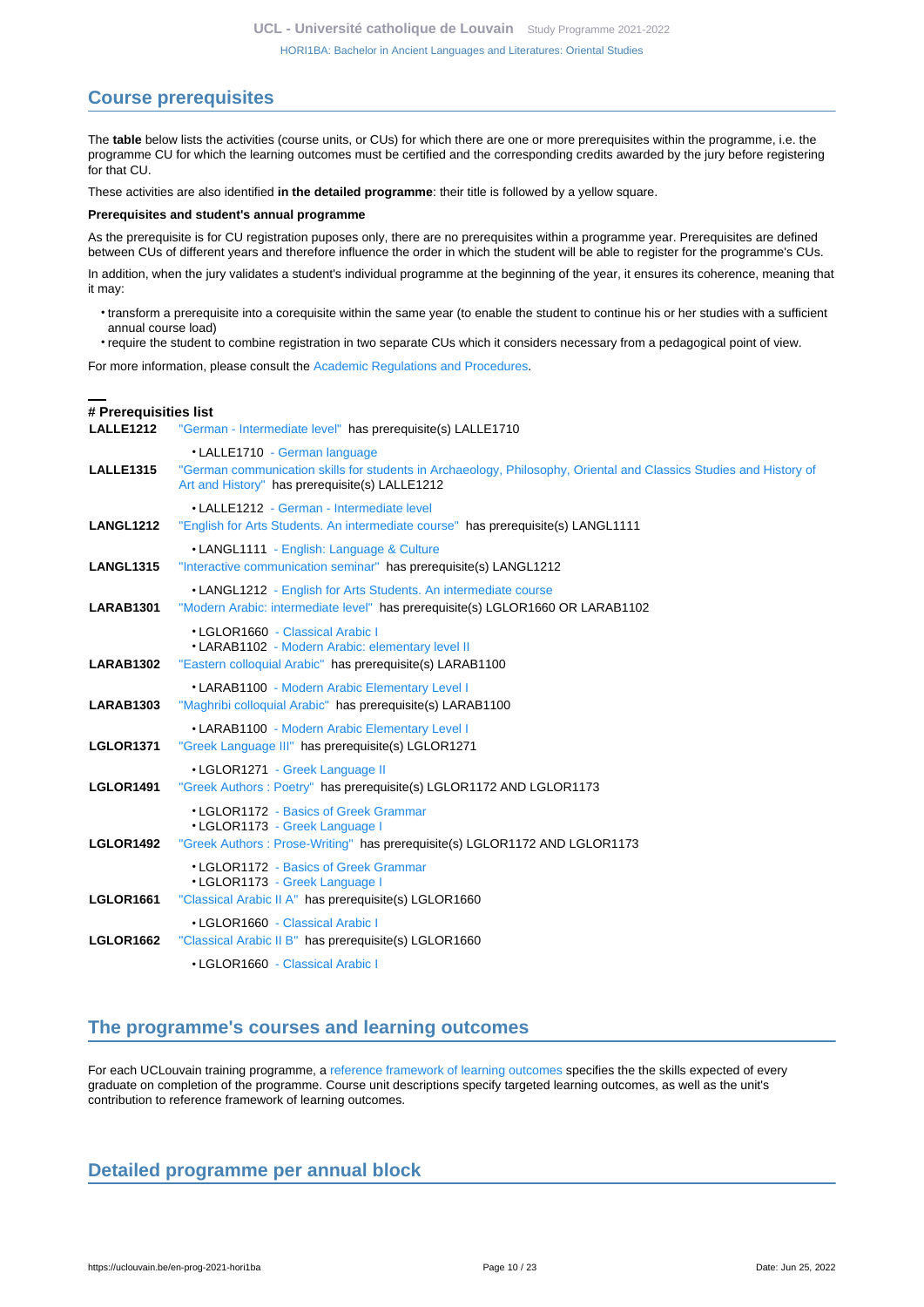# <span id="page-9-0"></span>**Course prerequisites**

The **table** below lists the activities (course units, or CUs) for which there are one or more prerequisites within the programme, i.e. the programme CU for which the learning outcomes must be certified and the corresponding credits awarded by the jury before registering for that CU.

These activities are also identified **in the detailed programme**: their title is followed by a yellow square.

#### **Prerequisites and student's annual programme**

As the prerequisite is for CU registration puposes only, there are no prerequisites within a programme year. Prerequisites are defined between CUs of different years and therefore influence the order in which the student will be able to register for the programme's CUs.

In addition, when the jury validates a student's individual programme at the beginning of the year, it ensures its coherence, meaning that it may:

- transform a prerequisite into a corequisite within the same year (to enable the student to continue his or her studies with a sufficient annual course load)
- require the student to combine registration in two separate CUs which it considers necessary from a pedagogical point of view.

For more information, please consult the [Academic Regulations and Procedures](https://uclouvain.be/fr/decouvrir/rgee.html).

## **# Prerequisities list**

**LALLE1212** ["German - Intermediate level"](https://uclouvain.be/en-cours-2021-LALLE1212) has prerequisite(s) LALLE1710 • LALLE1710 [- German language](https://uclouvain.be/en-cours-2021-LALLE1710) **LALLE1315** ["German communication skills for students in Archaeology, Philosophy, Oriental and Classics Studies and History of](https://uclouvain.be/en-cours-2021-LALLE1315) [Art and History"](https://uclouvain.be/en-cours-2021-LALLE1315) has prerequisite(s) LALLE1212 • LALLE1212 [- German - Intermediate level](https://uclouvain.be/en-cours-2021-LALLE1212) **LANGL1212** ["English for Arts Students. An intermediate course"](https://uclouvain.be/en-cours-2021-LANGL1212) has prerequisite(s) LANGL1111 • LANGL1111 [- English: Language & Culture](https://uclouvain.be/en-cours-2021-LANGL1111) **LANGL1315** ["Interactive communication seminar"](https://uclouvain.be/en-cours-2021-LANGL1315) has prerequisite(s) LANGL1212 • LANGL1212 [- English for Arts Students. An intermediate course](https://uclouvain.be/en-cours-2021-LANGL1212) **LARAB1301** ["Modern Arabic: intermediate level"](https://uclouvain.be/en-cours-2021-LARAB1301) has prerequisite(s) LGLOR1660 OR LARAB1102 • LGLOR1660 [- Classical Arabic I](https://uclouvain.be/en-cours-2021-LGLOR1660) • LARAB1102 [- Modern Arabic: elementary level II](https://uclouvain.be/en-cours-2021-LARAB1102) **LARAB1302** ["Eastern colloquial Arabic"](https://uclouvain.be/en-cours-2021-LARAB1302) has prerequisite(s) LARAB1100 • LARAB1100 [- Modern Arabic Elementary Level I](https://uclouvain.be/en-cours-2021-LARAB1100) **LARAB1303** ["Maghribi colloquial Arabic"](https://uclouvain.be/en-cours-2021-LARAB1303) has prerequisite(s) LARAB1100 • LARAB1100 [- Modern Arabic Elementary Level I](https://uclouvain.be/en-cours-2021-LARAB1100) **LGLOR1371** ["Greek Language III"](https://uclouvain.be/en-cours-2021-LGLOR1371) has prerequisite(s) LGLOR1271 • LGLOR1271 [- Greek Language II](https://uclouvain.be/en-cours-2021-LGLOR1271) **LGLOR1491** ["Greek Authors : Poetry"](https://uclouvain.be/en-cours-2021-LGLOR1491) has prerequisite(s) LGLOR1172 AND LGLOR1173 • LGLOR1172 [- Basics of Greek Grammar](https://uclouvain.be/en-cours-2021-LGLOR1172) • LGLOR1173 [- Greek Language I](https://uclouvain.be/en-cours-2021-LGLOR1173) **LGLOR1492** ["Greek Authors : Prose-Writing"](https://uclouvain.be/en-cours-2021-LGLOR1492) has prerequisite(s) LGLOR1172 AND LGLOR1173 • LGLOR1172 [- Basics of Greek Grammar](https://uclouvain.be/en-cours-2021-LGLOR1172) • LGLOR1173 [- Greek Language I](https://uclouvain.be/en-cours-2021-LGLOR1173) **LGLOR1661** ["Classical Arabic II A"](https://uclouvain.be/en-cours-2021-LGLOR1661) has prerequisite(s) LGLOR1660 • LGLOR1660 [- Classical Arabic I](https://uclouvain.be/en-cours-2021-LGLOR1660) **LGLOR1662** ["Classical Arabic II B"](https://uclouvain.be/en-cours-2021-LGLOR1662) has prerequisite(s) LGLOR1660 • LGLOR1660 [- Classical Arabic I](https://uclouvain.be/en-cours-2021-LGLOR1660)

# <span id="page-9-1"></span>**The programme's courses and learning outcomes**

For each UCLouvain training programme, a [reference framework of learning outcomes](https://uclouvain.be/en-prog-2021-hori1ba-competences_et_acquis.html) specifies the the skills expected of every graduate on completion of the programme. Course unit descriptions specify targeted learning outcomes, as well as the unit's contribution to reference framework of learning outcomes.

# <span id="page-9-2"></span>**Detailed programme per annual block**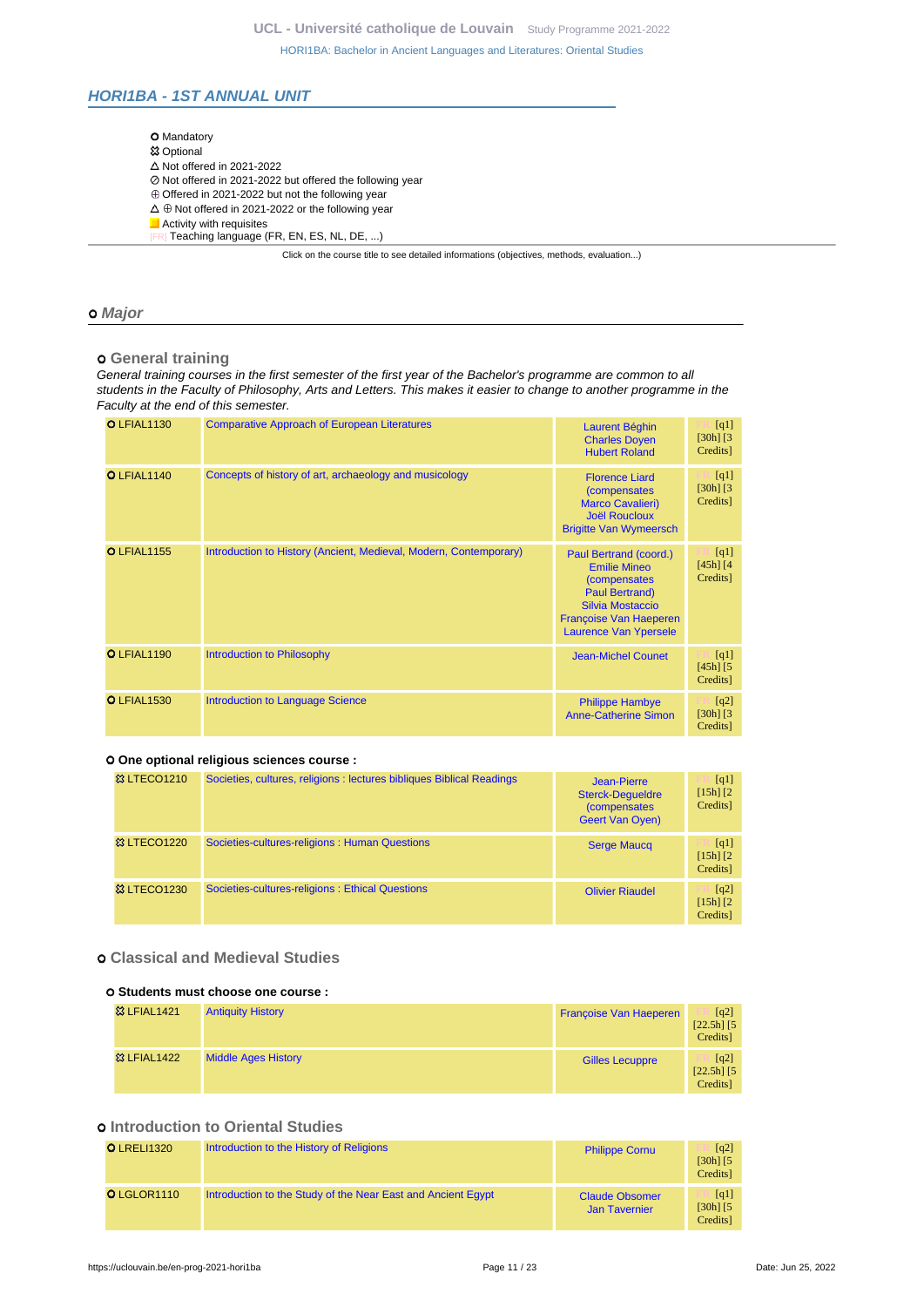## <span id="page-10-0"></span>**HORI1BA - 1ST ANNUAL UNIT**

| <b>O</b> Mandatory                                                                       |  |
|------------------------------------------------------------------------------------------|--|
| <b>83 Optional</b>                                                                       |  |
| $\triangle$ Not offered in 2021-2022                                                     |  |
| ⊘ Not offered in 2021-2022 but offered the following year                                |  |
| $\oplus$ Offered in 2021-2022 but not the following year                                 |  |
| $\Delta \oplus$ Not offered in 2021-2022 or the following year                           |  |
| Activity with requisites                                                                 |  |
| Teaching language (FR, EN, ES, NL, DE, )                                                 |  |
| Click on the course title to see detailed informations (objectives, methods, evaluation) |  |

### **Major**

## **General training**

General training courses in the first semester of the first year of the Bachelor's programme are common to all students in the Faculty of Philosophy, Arts and Letters. This makes it easier to change to another programme in the Faculty at the end of this semester.

| <b>O LFIAL1130</b> | <b>Comparative Approach of European Literatures</b>               | <b>Laurent Béghin</b><br><b>Charles Doyen</b><br><b>Hubert Roland</b>                                                                                                                      | [q1]<br>$[30h]$ $[3]$<br>Credits]                |
|--------------------|-------------------------------------------------------------------|--------------------------------------------------------------------------------------------------------------------------------------------------------------------------------------------|--------------------------------------------------|
| O LFIAL1140        | Concepts of history of art, archaeology and musicology            | <b>Florence Liard</b><br><i>(compensates)</i><br><b>Marco Cavalieri)</b><br><b>Joël Roucloux</b><br><b>Brigitte Van Wymeersch</b>                                                          | [q1]<br>$[30h]$ $[3]$<br>Credits]                |
| <b>O</b> LFIAL1155 | Introduction to History (Ancient, Medieval, Modern, Contemporary) | Paul Bertrand (coord.)<br><b>Emilie Mineo</b><br><i>(compensates)</i><br><b>Paul Bertrand)</b><br><b>Silvia Mostaccio</b><br><b>Francoise Van Haeperen</b><br><b>Laurence Van Ypersele</b> | [q1]<br>$[45h]$ $[4]$<br>Credits]                |
| O LFIAL1190        | <b>Introduction to Philosophy</b>                                 | Jean-Michel Counet                                                                                                                                                                         | [q1]<br>$[45h]$ $[5]$<br>Credits]                |
| <b>O</b> LFIAL1530 | <b>Introduction to Language Science</b>                           | <b>Philippe Hambye</b><br><b>Anne-Catherine Simon</b>                                                                                                                                      | $\lceil q^2 \rceil$<br>$[30h]$ $[3]$<br>Credits] |

## **One optional religious sciences course :**

| <b>&amp; LTECO1210</b> | Societies, cultures, religions : lectures bibliques Biblical Readings | Jean-Pierre<br><b>Sterck-Dequeldre</b><br>(compensates<br><b>Geert Van Oven)</b> | [q1]<br>$[15h]$ $[2]$<br>Credits] |
|------------------------|-----------------------------------------------------------------------|----------------------------------------------------------------------------------|-----------------------------------|
| <b>&amp; LTECO1220</b> | Societies-cultures-religions: Human Questions                         | <b>Serge Maucq</b>                                                               | [q1]<br>$[15h]$ $[2]$<br>Credits] |
| <b>&amp; LTECO1230</b> | Societies-cultures-religions: Ethical Questions                       | <b>Olivier Riaudel</b>                                                           | [q2]<br>$[15h]$ $[2]$<br>Credits] |

## **Classical and Medieval Studies**

#### **Students must choose one course :**

| <b>83 LFIAL1421</b>    | <b>Antiquity History</b>   | <b>Françoise Van Haeperen</b> | $\lceil q^2 \rceil$<br>$[22.5h]$ $[5]$<br>Credits] |
|------------------------|----------------------------|-------------------------------|----------------------------------------------------|
| <b>&amp; LFIAL1422</b> | <b>Middle Ages History</b> | <b>Gilles Lecuppre</b>        | $\lceil q^2 \rceil$<br>$[22.5h]$ [5]<br>Credits]   |

## $o$  **Introduction to Oriental Studies**

| <b>O</b> LRELI1320 | Introduction to the History of Religions                     | <b>Philippe Cornu</b>                         | $\lceil q^2 \rceil$<br>$[30h]$ $[5]$<br>Credits] |
|--------------------|--------------------------------------------------------------|-----------------------------------------------|--------------------------------------------------|
| O LGLOR1110        | Introduction to the Study of the Near East and Ancient Egypt | <b>Claude Obsomer</b><br><b>Jan Tavernier</b> | $\lceil q_1 \rceil$<br>$[30h]$ $[5]$<br>Credits] |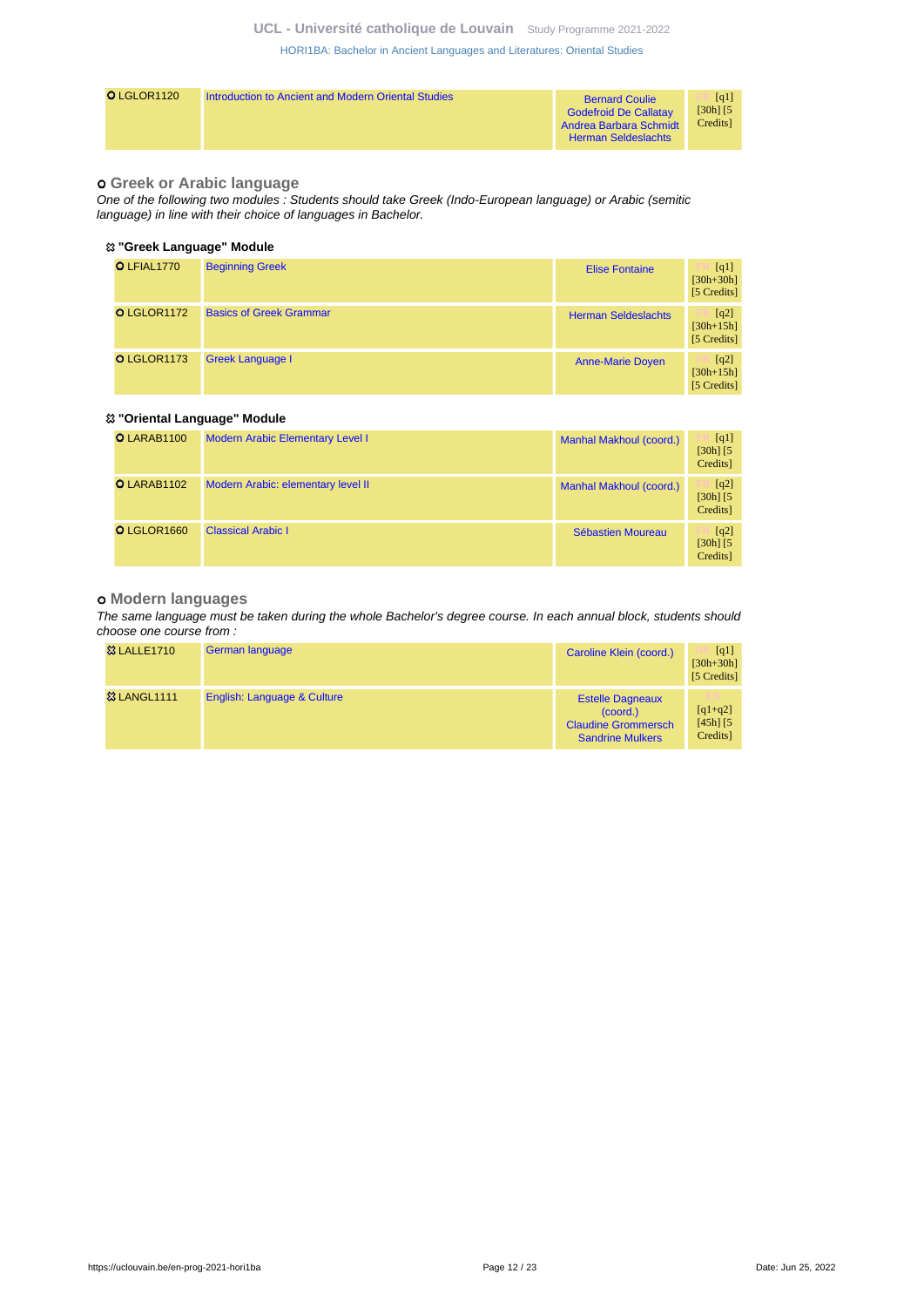## **UCL - Université catholique de Louvain** [Study Programme 2021-2022](https://uclouvain.be/en/study-programme)

[HORI1BA: Bachelor in Ancient Languages and Literatures: Oriental Studies](https://uclouvain.be/en-prog-2021-hori1ba.html)

| O LGLOR1120 | Introduction to Ancient and Modern Oriental Studies | <b>Bernard Coulie</b><br><b>Godefroid De Callatay</b><br>Andrea Barbara Schmidt<br><b>Herman Seldeslachts</b> | [q1]<br>$[30h]$ $[5]$<br>Credits |
|-------------|-----------------------------------------------------|---------------------------------------------------------------------------------------------------------------|----------------------------------|
|-------------|-----------------------------------------------------|---------------------------------------------------------------------------------------------------------------|----------------------------------|

## **Greek or Arabic language**

One of the following two modules : Students should take Greek (Indo-European language) or Arabic (semitic language) in line with their choice of languages in Bachelor.

## **"Greek Language" Module**

| O LFIAL1770 | <b>Beginning Greek</b>         | <b>Elise Fontaine</b>      | [q1]<br>$[30h + 30h]$<br>[5 Credits] |
|-------------|--------------------------------|----------------------------|--------------------------------------|
| O LGLOR1172 | <b>Basics of Greek Grammar</b> | <b>Herman Seldeslachts</b> | [q2]<br>$[30h+15h]$<br>[5 Credits]   |
| O LGLOR1173 | <b>Greek Language I</b>        | <b>Anne-Marie Doyen</b>    | [q2]<br>$[30h+15h]$<br>[5 Credits]   |

#### **"Oriental Language" Module**

| O LARAB1100 | <b>Modern Arabic Elementary Level I</b> | Manhal Makhoul (coord.) | [q1]<br>$[30h]$ $[5]$<br>Credits] |
|-------------|-----------------------------------------|-------------------------|-----------------------------------|
| O LARAB1102 | Modern Arabic: elementary level II      | Manhal Makhoul (coord.) | [q2]<br>$[30h]$ $[5]$<br>Credits] |
| O LGLOR1660 | <b>Classical Arabic I</b>               | Sébastien Moureau       | [q2]<br>$[30h]$ $[5]$<br>Credits] |

#### **Modern languages**

The same language must be taken during the whole Bachelor's degree course. In each annual block, students should choose one course from :

| <b>&amp;3 LALLE1710</b> | German language             | Caroline Klein (coord.)                                                                            | $\lceil q_1 \rceil$<br>$[30h + 30h]$<br>[5 Credits] |
|-------------------------|-----------------------------|----------------------------------------------------------------------------------------------------|-----------------------------------------------------|
| <b>&amp; LANGL1111</b>  | English: Language & Culture | <b>Estelle Dagneaux</b><br>$(c$ oord. $)$<br><b>Claudine Grommersch</b><br><b>Sandrine Mulkers</b> | m<br>$[q1+q2]$<br>$[45h]$ $[5]$<br>Credits]         |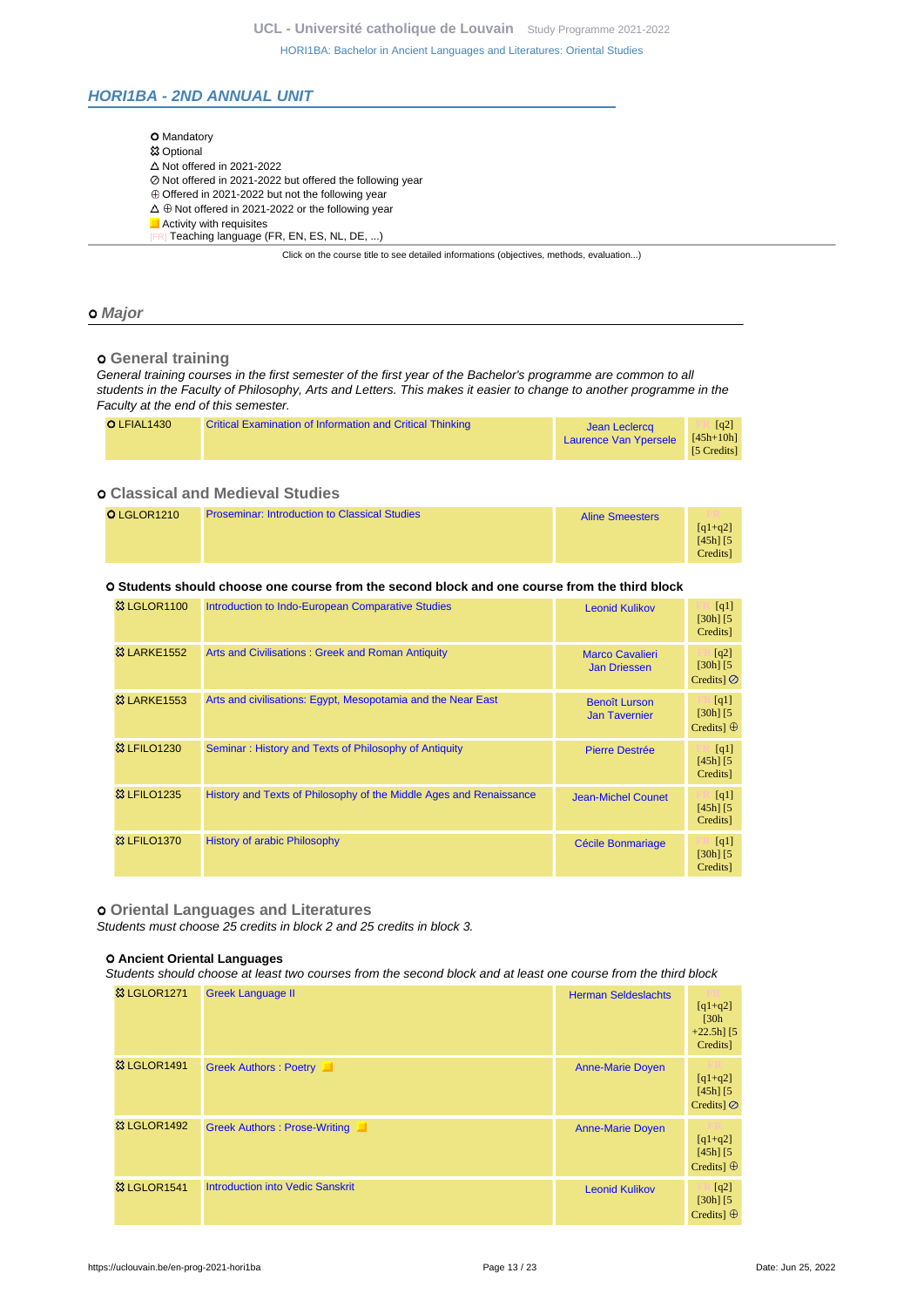## <span id="page-12-0"></span>**HORI1BA - 2ND ANNUAL UNIT**

| <b>O</b> Mandatory                                                                       |
|------------------------------------------------------------------------------------------|
| <b>惢 Optional</b>                                                                        |
| $\triangle$ Not offered in 2021-2022                                                     |
| ⊘ Not offered in 2021-2022 but offered the following year                                |
| $\oplus$ Offered in 2021-2022 but not the following year                                 |
| $\Delta \oplus$ Not offered in 2021-2022 or the following year                           |
| Activity with requisites                                                                 |
| [FR] Teaching language (FR, EN, ES, NL, DE, )                                            |
| Click on the course title to see detailed informations (objectives, methods, evaluation) |

#### **Major**

#### **General training**

General training courses in the first semester of the first year of the Bachelor's programme are common to all students in the Faculty of Philosophy, Arts and Letters. This makes it easier to change to another programme in the Faculty at the end of this semester.

| O LFIAL1430<br><b>Critical Examination of Information and Critical Thinking</b><br>$\lceil q2 \rceil$<br>Jean Leclercq<br>$[45h+10h]$<br>Laurence Van Ypersele<br>[5 Credits] |
|-------------------------------------------------------------------------------------------------------------------------------------------------------------------------------|
|-------------------------------------------------------------------------------------------------------------------------------------------------------------------------------|

## **Classical and Medieval Studies**

| O LGLOR1210 | <b>Proseminar: Introduction to Classical Studies</b> | <b>Aline Smeesters</b> | m.                         |
|-------------|------------------------------------------------------|------------------------|----------------------------|
|             |                                                      |                        | $[q1+q2]$<br>$[45h]$ $[5]$ |
|             |                                                      |                        | Credits                    |

#### **Students should choose one course from the second block and one course from the third block**

| <b>&amp; LGLOR1100</b>  | Introduction to Indo-European Comparative Studies                  | <b>Leonid Kulikov</b>                         | [q1]<br>$[30h]$ $[5]$<br>Credits]         |
|-------------------------|--------------------------------------------------------------------|-----------------------------------------------|-------------------------------------------|
| <b>&amp;3 LARKE1552</b> | Arts and Civilisations: Greek and Roman Antiquity                  | <b>Marco Cavalieri</b><br><b>Jan Driessen</b> | [q2]<br>$[30h]$ $[5]$<br>Credits $\odot$  |
| <b>&amp;3 LARKE1553</b> | Arts and civilisations: Egypt, Mesopotamia and the Near East       | <b>Benoît Lurson</b><br><b>Jan Tavernier</b>  | [q1]<br>$[30h]$ $[5]$<br>Credits $\oplus$ |
| <b>&amp; LFILO1230</b>  | Seminar: History and Texts of Philosophy of Antiquity              | <b>Pierre Destrée</b>                         | [q1]<br>$[45h]$ $[5]$<br>Credits]         |
| <b>&amp; LFILO1235</b>  | History and Texts of Philosophy of the Middle Ages and Renaissance | <b>Jean-Michel Counet</b>                     | [q1]<br>$[45h]$ $[5]$<br>Credits]         |
| <b>&amp;3 LFILO1370</b> | <b>History of arabic Philosophy</b>                                | Cécile Bonmariage                             | [q1]<br>$[30h]$ $[5]$<br>Credits]         |

#### **Oriental Languages and Literatures**

Students must choose 25 credits in block 2 and 25 credits in block 3.

#### **Ancient Oriental Languages**

Students should choose at least two courses from the second block and at least one course from the third block

| <b>&amp; LGLOR1271</b> | <b>Greek Language II</b>                | <b>Herman Seldeslachts</b> | $[q1+q2]$<br>$\sqrt{30h}$<br>$+22.5h$ ] [5<br>Credits] |
|------------------------|-----------------------------------------|----------------------------|--------------------------------------------------------|
| <b>&amp; LGLOR1491</b> | Greek Authors : Poetry                  | <b>Anne-Marie Doyen</b>    | $[q1+q2]$<br>$[45h]$ $[5]$<br>Credits $\odot$          |
| <b>&amp; LGLOR1492</b> | <b>Greek Authors: Prose-Writing</b>     | <b>Anne-Marie Doyen</b>    | $[q1+q2]$<br>$[45h]$ $[5]$<br>Credits] $\oplus$        |
| <b>&amp; LGLOR1541</b> | <b>Introduction into Vedic Sanskrit</b> | <b>Leonid Kulikov</b>      | [q2]<br>$[30h]$ $[5]$<br>Credits $\oplus$              |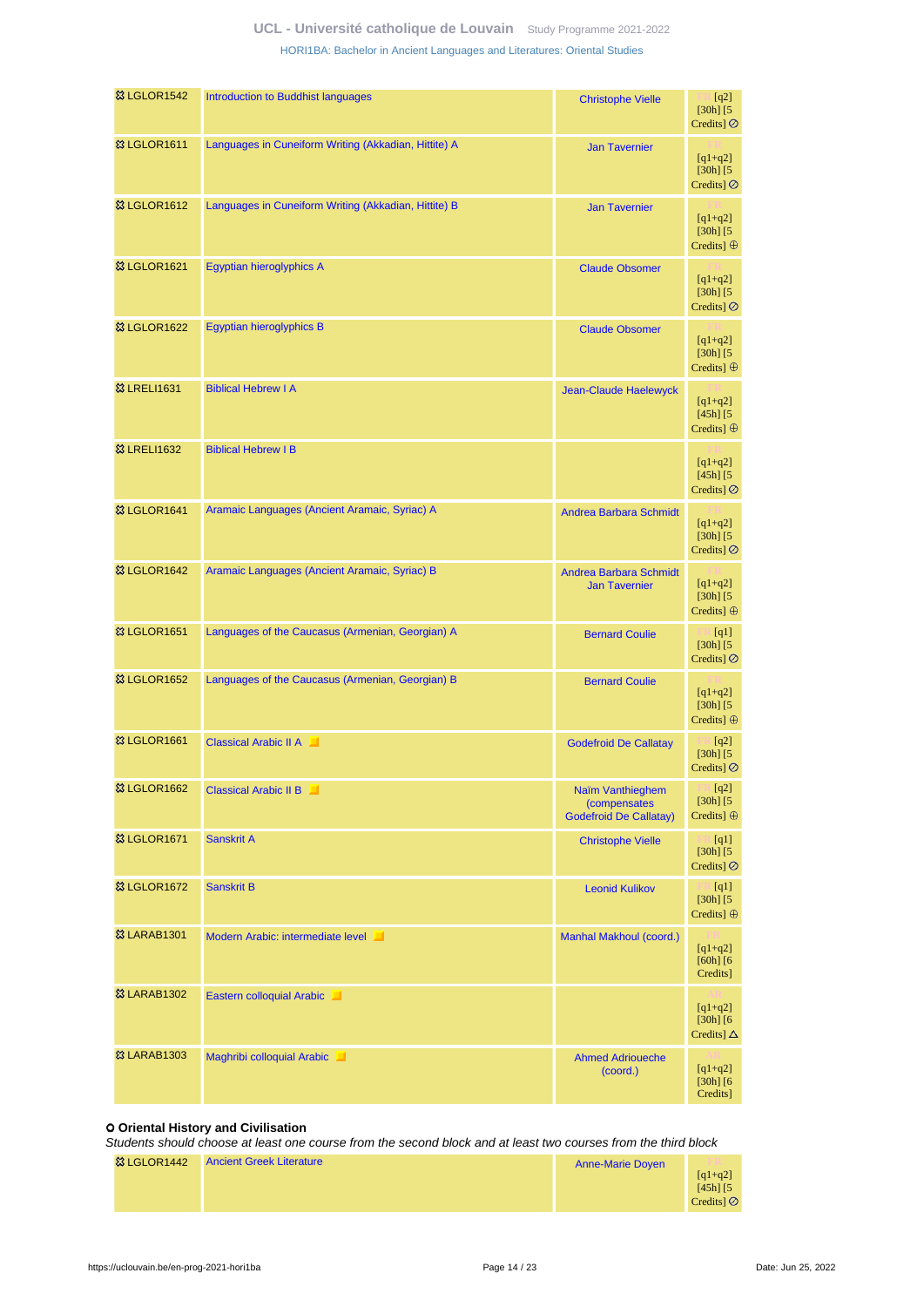| <b>&amp; LGLOR1542</b>  | Introduction to Buddhist languages                   | <b>Christophe Vielle</b>                                                 | [q2]<br>$[30h]$ $[5]$<br>Credits] $\oslash$                       |
|-------------------------|------------------------------------------------------|--------------------------------------------------------------------------|-------------------------------------------------------------------|
| <sup>3</sup> LGLOR1611  | Languages in Cuneiform Writing (Akkadian, Hittite) A | <b>Jan Tavernier</b>                                                     | $[q1+q2]$<br>$[30h]$ $[5]$<br>Credits] $\oslash$                  |
| 83 LGLOR1612            | Languages in Cuneiform Writing (Akkadian, Hittite) B | <b>Jan Tavernier</b>                                                     | $[q1+q2]$<br>$[30h]$ $[5]$<br>Credits] $\oplus$                   |
| <sup>3</sup> LGLOR1621  | Egyptian hieroglyphics A                             | <b>Claude Obsomer</b>                                                    | $[q1+q2]$<br>$[30h]$ $[5]$<br>Credits] $\oslash$                  |
| <b>&amp; LGLOR1622</b>  | <b>Egyptian hieroglyphics B</b>                      | <b>Claude Obsomer</b>                                                    | $[q1+q2]$<br>$[30h]$ $[5]$<br>Credits] $\oplus$                   |
| <b>83 LRELI1631</b>     | <b>Biblical Hebrew I A</b>                           | <b>Jean-Claude Haelewyck</b>                                             | $[q1+q2]$<br>$[45h]$ $[5]$<br>Credits] $\oplus$                   |
| <b>83 LRELI1632</b>     | <b>Biblical Hebrew I B</b>                           |                                                                          | $[q1+q2]$<br>$[45h]$ $[5]$<br>Credits] $\oslash$                  |
| <b>惢 LGLOR1641</b>      | Aramaic Languages (Ancient Aramaic, Syriac) A        | <b>Andrea Barbara Schmidt</b>                                            | $[q1+q2]$<br>$[30h]$ $[5]$<br>Credits] $\oslash$                  |
| <sup>33</sup> LGLOR1642 | Aramaic Languages (Ancient Aramaic, Syriac) B        | <b>Andrea Barbara Schmidt</b><br><b>Jan Tavernier</b>                    | $[q1+q2]$<br>$[30h]$ $[5]$<br>Credits] $\oplus$                   |
| <sup>3</sup> LGLOR1651  | Languages of the Caucasus (Armenian, Georgian) A     | <b>Bernard Coulie</b>                                                    | $\mathbb{F}$ [q1]<br>$[30h]$ $[5]$<br>Credits] $\oslash$          |
| <b>&amp; LGLOR1652</b>  | Languages of the Caucasus (Armenian, Georgian) B     | <b>Bernard Coulie</b>                                                    | $[q1+q2]$<br>$[30h]$ $[5]$<br>Credits] $\oplus$                   |
| <b>&amp; LGLOR1661</b>  | <b>Classical Arabic II A</b>                         | <b>Godefroid De Callatay</b>                                             | $\lceil \cdot  q2] \rceil$<br>$[30h]$ $[5]$<br>Credits] $\oslash$ |
| 83 LGLOR1662            | <b>Classical Arabic II B</b>                         | Naïm Vanthieghem<br><i>(compensates</i><br><b>Godefroid De Callatay)</b> | [q2]<br>$[30h]$ $[5]$<br>Credits] $\oplus$                        |
| <sup>8</sup> LGLOR1671  | <b>Sanskrit A</b>                                    | <b>Christophe Vielle</b>                                                 | [q1]<br>$[30h]$ $[5]$<br>Credits] $\oslash$                       |
| <b>&amp; LGLOR1672</b>  | <b>Sanskrit B</b>                                    | <b>Leonid Kulikov</b>                                                    | $\Box$ [q1]<br>$[30h]$ $[5$<br>Credits] $\oplus$                  |
| <b>&amp; LARAB1301</b>  | Modern Arabic: intermediate level                    | Manhal Makhoul (coord.)                                                  | $[q1+q2]$<br>$[60h]$ $[6$<br>Credits]                             |
| <b>83 LARAB1302</b>     | Eastern colloquial Arabic                            |                                                                          | $[q1+q2]$<br>$[30h]$ $[6]$<br>Credits] $\Delta$                   |
| <b>&amp; LARAB1303</b>  | Maghribi colloquial Arabic                           | <b>Ahmed Adrioueche</b><br>(coord.)                                      | $[q1+q2]$<br>$[30h]$ $[6]$<br>Credits]                            |

## **Oriental History and Civilisation**

Students should choose at least one course from the second block and at least two courses from the third block

| 83 LGLOR1442 | <b>Ancient Greek Literature</b> | <b>Anne-Marie Doyen</b> |                            |
|--------------|---------------------------------|-------------------------|----------------------------|
|              |                                 |                         | $[q1+q2]$<br>$[45h]$ $[5]$ |
|              |                                 |                         | Credits]                   |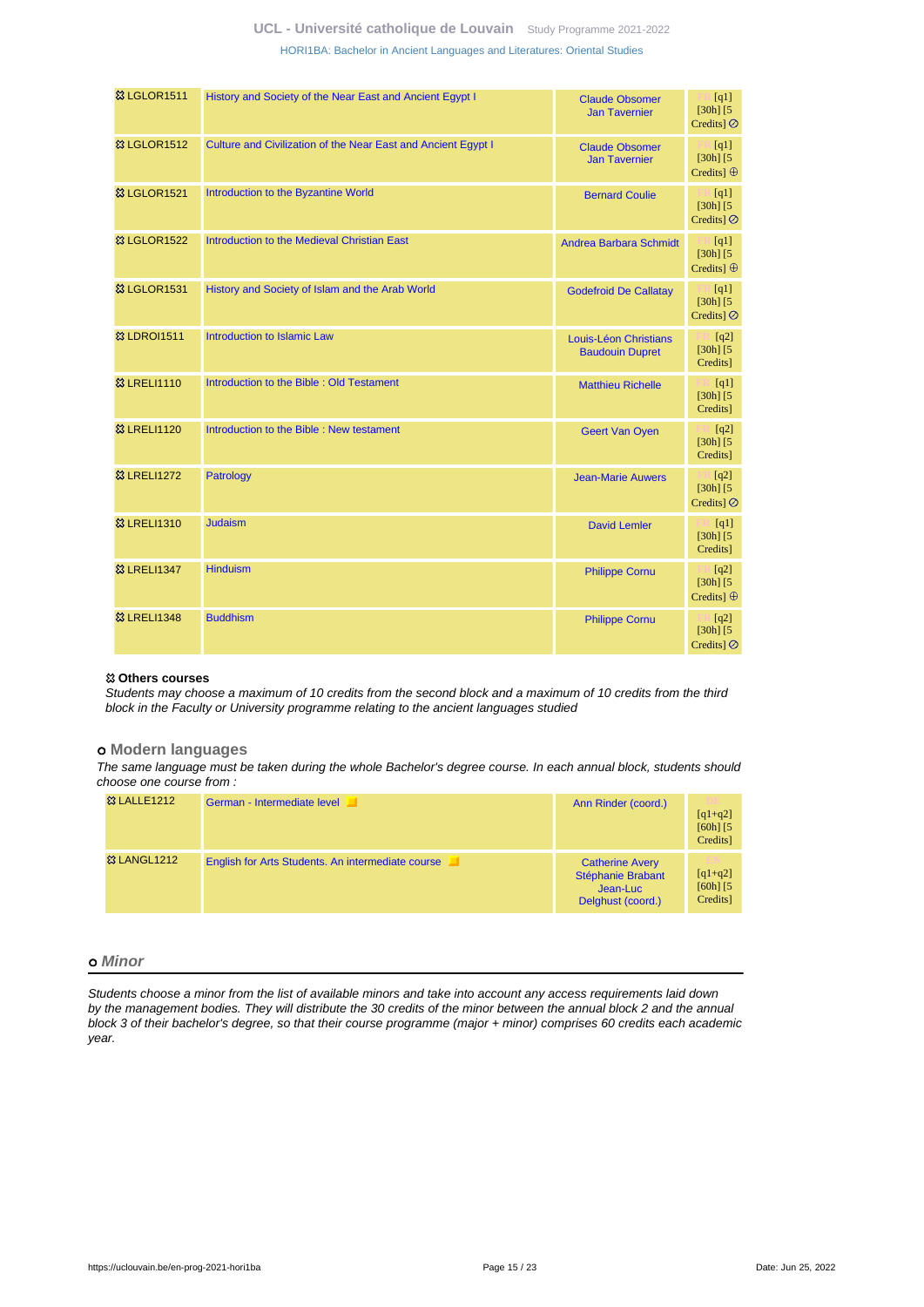| <b>83 LGLOR1511</b>     | History and Society of the Near East and Ancient Egypt I      | <b>Claude Obsomer</b><br><b>Jan Tavernier</b>   | $\Box$ [q1]<br>$[30h]$ $[5]$<br>Credits] $\oslash$                          |
|-------------------------|---------------------------------------------------------------|-------------------------------------------------|-----------------------------------------------------------------------------|
| <b>&amp; LGLOR1512</b>  | Culture and Civilization of the Near East and Ancient Egypt I | <b>Claude Obsomer</b><br><b>Jan Tavernier</b>   | $\mathbb{R}$ [q1]<br>$[30h]$ $[5]$<br>Credits] $\oplus$                     |
| <b>&amp; LGLOR1521</b>  | Introduction to the Byzantine World                           | <b>Bernard Coulie</b>                           | $\mathbb{H}$ [q1]<br>$[30h]$ $[5]$<br>Credits] $\oslash$                    |
| <b>&amp; LGLOR1522</b>  | Introduction to the Medieval Christian East                   | <b>Andrea Barbara Schmidt</b>                   | $\mathbb{R}$ [q1]<br>$[30h]$ $[5]$<br>Credits] $\oplus$                     |
| <b>&amp; LGLOR1531</b>  | History and Society of Islam and the Arab World               | <b>Godefroid De Callatay</b>                    | $\mathbb{R}$ [q1]<br>$[30h]$ $[5]$<br>Credits] Ø                            |
| <b>&amp; LDROI1511</b>  | Introduction to Islamic Law                                   | Louis-Léon Christians<br><b>Baudouin Dupret</b> | $\mathbb{R}$ [q2]<br>$[30h]$ $[5]$<br>Credits]                              |
| <b>&amp;3 LRELI1110</b> | Introduction to the Bible: Old Testament                      | <b>Matthieu Richelle</b>                        | $\mathbb{H}$ [q1]<br>$[30h]$ [5]<br>Credits]                                |
| <b>&amp; LRELI1120</b>  | Introduction to the Bible: New testament                      | <b>Geert Van Oyen</b>                           | $\begin{bmatrix} 1 & 1 \\ 1 & 1 \end{bmatrix}$<br>$[30h]$ $[5]$<br>Credits] |
| <b>83 LRELI1272</b>     | Patrology                                                     | <b>Jean-Marie Auwers</b>                        | $\Box$ [q2]<br>$[30h]$ $[5$<br>Credits] Ø                                   |
| <b>&amp; LRELI1310</b>  | <b>Judaism</b>                                                | <b>David Lemler</b>                             | [q1]<br>$[30h]$ $[5]$<br>Credits]                                           |
| <b>&amp;3 LRELI1347</b> | <b>Hinduism</b>                                               | <b>Philippe Cornu</b>                           | $\Box$ [q2]<br>$[30h]$ [5]<br>Credits] $\oplus$                             |
| <b>83 LRELI1348</b>     | <b>Buddhism</b>                                               | <b>Philippe Cornu</b>                           | $\Box$ [q2]<br>$[30h]$ $[5]$<br>Credits] $\oslash$                          |
|                         |                                                               |                                                 |                                                                             |

## **Others courses**

Students may choose a maximum of 10 credits from the second block and a maximum of 10 credits from the third block in the Faculty or University programme relating to the ancient languages studied

### **Modern languages**

The same language must be taken during the whole Bachelor's degree course. In each annual block, students should choose one course from :

| <b>&amp; LALLE1212</b> | German - Intermediate level                       | Ann Rinder (coord.)                                                          | DE<br>$[q1+q2]$<br>$[60h]$ $[5]$<br>Credits] |
|------------------------|---------------------------------------------------|------------------------------------------------------------------------------|----------------------------------------------|
| <b>&amp; LANGL1212</b> | English for Arts Students. An intermediate course | <b>Catherine Avery</b><br>Stéphanie Brabant<br>Jean-Luc<br>Delghust (coord.) | m<br>$[q1+q2]$<br>$[60h]$ $[5]$<br>Credits]  |

### **Minor**

Students choose a minor from the list of available minors and take into account any access requirements laid down by the management bodies. They will distribute the 30 credits of the minor between the annual block 2 and the annual block 3 of their bachelor's degree, so that their course programme (major + minor) comprises 60 credits each academic year.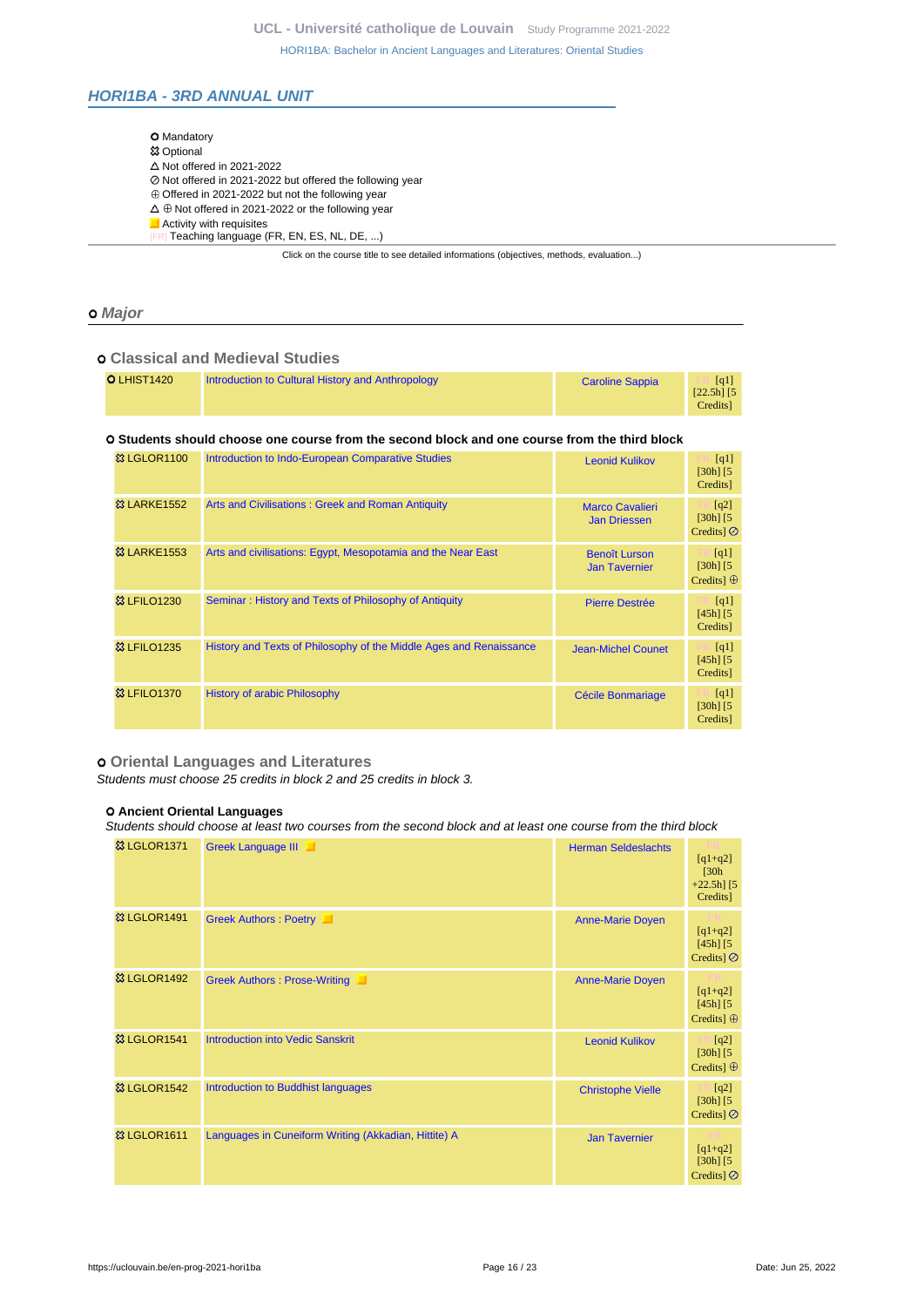## <span id="page-15-0"></span>**HORI1BA - 3RD ANNUAL UNIT**

| <b>O</b> Mandatory                                                                       |
|------------------------------------------------------------------------------------------|
| <b>83 Optional</b>                                                                       |
| $\Delta$ Not offered in 2021-2022                                                        |
| ⊘ Not offered in 2021-2022 but offered the following year                                |
| $\oplus$ Offered in 2021-2022 but not the following year                                 |
| $\Delta \oplus$ Not offered in 2021-2022 or the following year                           |
| Activity with requisites                                                                 |
| [FR] Teaching language (FR, EN, ES, NL, DE, )                                            |
| Click on the course title to see detailed informations (objectives, methods, evaluation) |

## **Major**

## **Classical and Medieval Studies**

## **Students should choose one course from the second block and one course from the third block**

| <b>&amp; LGLOR1100</b>  | Introduction to Indo-European Comparative Studies                  | <b>Leonid Kulikov</b>                         | [q1]<br>$[30h]$ $[5]$<br>Credits]          |
|-------------------------|--------------------------------------------------------------------|-----------------------------------------------|--------------------------------------------|
| <b>&amp;3 LARKE1552</b> | Arts and Civilisations: Greek and Roman Antiquity                  | <b>Marco Cavalieri</b><br><b>Jan Driessen</b> | [q2]<br>$[30h]$ $[5]$<br>Credits $\odot$   |
| <b>&amp;3 LARKE1553</b> | Arts and civilisations: Egypt, Mesopotamia and the Near East       | <b>Benoît Lurson</b><br><b>Jan Tavernier</b>  | [q1]<br>$[30h]$ $[5]$<br>Credits] $\oplus$ |
| <b>&amp;3 LFILO1230</b> | Seminar: History and Texts of Philosophy of Antiquity              | <b>Pierre Destrée</b>                         | [q1]<br>$[45h]$ $[5]$<br>Credits]          |
| <b>&amp; LFILO1235</b>  | History and Texts of Philosophy of the Middle Ages and Renaissance | <b>Jean-Michel Counet</b>                     | [q1]<br>$[45h]$ $[5]$<br>Credits]          |
| <b>&amp;3 LFILO1370</b> | <b>History of arabic Philosophy</b>                                | Cécile Bonmariage                             | [q1]<br>$[30h]$ $[5]$<br>Credits]          |

### **Oriental Languages and Literatures**

Students must choose 25 credits in block 2 and 25 credits in block 3.

### **Ancient Oriental Languages**

Students should choose at least two courses from the second block and at least one course from the third block

| <b>&amp; LGLOR1371</b> | Greek Language III                                   | <b>Herman Seldeslachts</b> | $[q1+q2]$<br>[30h]<br>$+22.5h$ ] [5<br>Credits]           |
|------------------------|------------------------------------------------------|----------------------------|-----------------------------------------------------------|
| <b>&amp; LGLOR1491</b> | Greek Authors : Poetry                               | <b>Anne-Marie Doyen</b>    | $[q1+q2]$<br>$[45h]$ $[5]$<br>Credits] $\oslash$          |
| <b>&amp; LGLOR1492</b> | Greek Authors : Prose-Writing                        | <b>Anne-Marie Doyen</b>    | $[q1+q2]$<br>$[45h]$ $[5]$<br>Credits] $\oplus$           |
| <b>&amp; LGLOR1541</b> | <b>Introduction into Vedic Sanskrit</b>              | <b>Leonid Kulikov</b>      | [q2]<br>$[30h]$ $[5]$<br>Credits] $\oplus$                |
| <b>&amp; LGLOR1542</b> | Introduction to Buddhist languages                   | <b>Christophe Vielle</b>   | $\lfloor q^2 \rfloor$<br>$[30h]$ $[5]$<br>Credits $\odot$ |
| <b>83 LGLOR1611</b>    | Languages in Cuneiform Writing (Akkadian, Hittite) A | <b>Jan Tavernier</b>       | $[q1+q2]$<br>$[30h]$ $[5]$<br>Credits] $\oslash$          |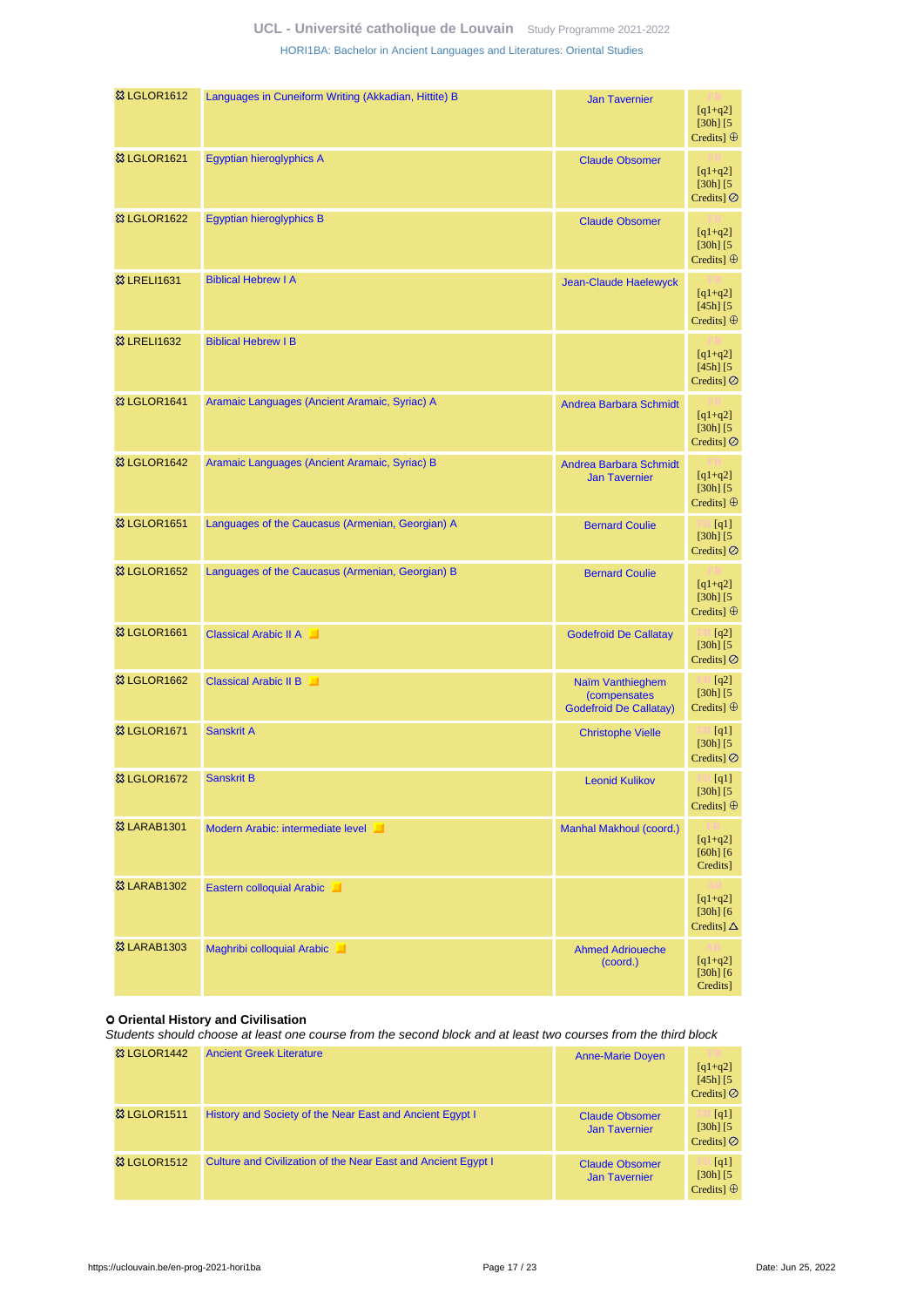| <b>8 LGLOR1612</b>       | Languages in Cuneiform Writing (Akkadian, Hittite) B | <b>Jan Tavernier</b>                                              | $[q1+q2]$<br>$[30h]$ $[5$<br>Credits] $\oplus$             |
|--------------------------|------------------------------------------------------|-------------------------------------------------------------------|------------------------------------------------------------|
| <b>&amp; LGLOR1621</b>   | Egyptian hieroglyphics A                             | <b>Claude Obsomer</b>                                             | $[q1+q2]$<br>$[30h]$ $[5]$<br>Credits $\odot$              |
| <sup>3</sup> & LGLOR1622 | Egyptian hieroglyphics B                             | <b>Claude Obsomer</b>                                             | $[q1+q2]$<br>$[30h]$ $[5]$<br>Credits] $\oplus$            |
| <b>&amp; LRELI1631</b>   | <b>Biblical Hebrew I A</b>                           | <b>Jean-Claude Haelewyck</b>                                      | $[q1+q2]$<br>$[45h]$ $[5]$<br>Credits] $\oplus$            |
| <b>83 LRELI1632</b>      | <b>Biblical Hebrew I B</b>                           |                                                                   | $[q1+q2]$<br>$[45h]$ $[5]$<br>Credits] $\oslash$           |
| <b>&amp; LGLOR1641</b>   | Aramaic Languages (Ancient Aramaic, Syriac) A        | <b>Andrea Barbara Schmidt</b>                                     | $[q1+q2]$<br>$[30h]$ $[5]$<br>Credits] $\oslash$           |
| <sup>33</sup> LGLOR1642  | Aramaic Languages (Ancient Aramaic, Syriac) B        | <b>Andrea Barbara Schmidt</b><br><b>Jan Tavernier</b>             | $[q1+q2]$<br>$[30h]$ $[5]$<br>Credits] $\oplus$            |
| <b>&amp; LGLOR1651</b>   | Languages of the Caucasus (Armenian, Georgian) A     | <b>Bernard Coulie</b>                                             | $\mathbb{R}$ [q1]<br>$[30h]$ $[5]$<br>Credits] $\oslash$   |
| <b>&amp; LGLOR1652</b>   | Languages of the Caucasus (Armenian, Georgian) B     | <b>Bernard Coulie</b>                                             | $[q1+q2]$<br>$[30h]$ $[5]$<br>Credits] $\oplus$            |
| <b>&amp; LGLOR1661</b>   | <b>Classical Arabic II A</b>                         | <b>Godefroid De Callatay</b>                                      | $\blacksquare$ [q2]<br>$[30h]$ $[5]$<br>Credits] $\oslash$ |
| <sup>3</sup> LGLOR1662   | <b>Classical Arabic II B</b>                         | Naïm Vanthieghem<br>(compensates<br><b>Godefroid De Callatay)</b> | [q2]<br>$[30h]$ $[5]$<br>Credits] $\oplus$                 |
| <sup>3</sup> & LGLOR1671 | <b>Sanskrit A</b>                                    | <b>Christophe Vielle</b>                                          | [q1]<br>$[30h]$ $[5]$<br>Credits] $\oslash$                |
| <b>&amp; LGLOR1672</b>   | <b>Sanskrit B</b>                                    | <b>Leonid Kulikov</b>                                             | $\blacksquare$ [q1]<br>$[30h]$ $[5]$<br>Credits] $\oplus$  |
| <b>&amp; LARAB1301</b>   | Modern Arabic: intermediate level                    | Manhal Makhoul (coord.)                                           | $[q1+q2]$<br>$[60h]$ $[6$<br>Credits]                      |
| <b>83 LARAB1302</b>      | Eastern colloquial Arabic                            |                                                                   | $[q1+q2]$<br>$[30h]$ [6 $\,$<br>Credits] $\Delta$          |
| <b>&amp; LARAB1303</b>   | Maghribi colloquial Arabic                           | <b>Ahmed Adrioueche</b><br>(coord.)                               | $[q1+q2]$<br>$[30h]$ [6 $\,$<br>Credits]                   |

#### **Oriental History and Civilisation**

Students should choose at least one course from the second block and at least two courses from the third block

| <b>&amp; LGLOR1442</b> | <b>Ancient Greek Literature</b>                               | <b>Anne-Marie Doyen</b>                       | $[q1+q2]$<br>$[45h]$ $[5]$<br>Credits $\odot$ |
|------------------------|---------------------------------------------------------------|-----------------------------------------------|-----------------------------------------------|
| <b>&amp; LGLOR1511</b> | History and Society of the Near East and Ancient Egypt I      | <b>Claude Obsomer</b><br><b>Jan Tavernier</b> | [q1]<br>$[30h]$ $[5]$<br>Credits $\odot$      |
| <b>&amp; LGLOR1512</b> | Culture and Civilization of the Near East and Ancient Egypt I | <b>Claude Obsomer</b><br><b>Jan Tavernier</b> | [q1]<br>$[30h]$ $[5]$<br>Credits $\oplus$     |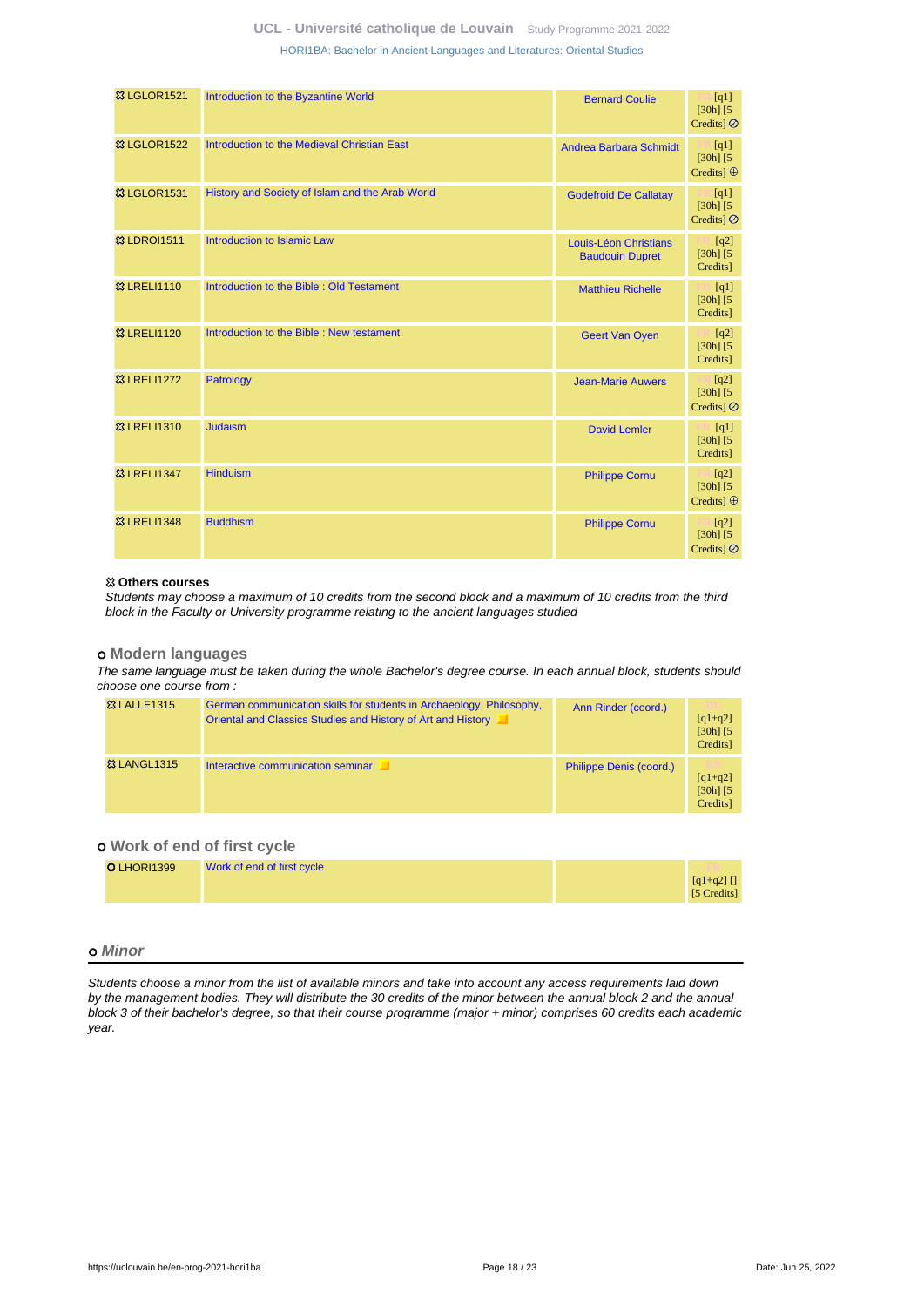| <b>&amp; LGLOR1521</b>  | Introduction to the Byzantine World             | <b>Bernard Coulie</b>                           | [q1]<br>$[30h]$ $[5$<br>Credits] $\oslash$         |
|-------------------------|-------------------------------------------------|-------------------------------------------------|----------------------------------------------------|
| <b>&amp; LGLOR1522</b>  | Introduction to the Medieval Christian East     | <b>Andrea Barbara Schmidt</b>                   | $\Box$ [q1]<br>$[30h]$ [5]<br>Credits] $\oplus$    |
| <b>&amp; LGLOR1531</b>  | History and Society of Islam and the Arab World | <b>Godefroid De Callatay</b>                    | $\Box$ [q1]<br>$[30h]$ $[5]$<br>Credits] $\oslash$ |
| <b>&amp; LDROI1511</b>  | Introduction to Islamic Law                     | Louis-Léon Christians<br><b>Baudouin Dupret</b> | $\Box$ [q2]<br>$[30h]$ [5]<br>Credits]             |
| <b>&amp;3 LRELI1110</b> | Introduction to the Bible: Old Testament        | <b>Matthieu Richelle</b>                        | $\mathbb{E}$ [q1]<br>$[30h]$ $[5]$<br>Credits]     |
| <b>&amp; LRELI1120</b>  | Introduction to the Bible: New testament        | <b>Geert Van Oyen</b>                           | $\lfloor q^2 \rfloor$<br>$[30h]$ [5]<br>Credits]   |
| <b>&amp;3 LRELI1272</b> | Patrology                                       | <b>Jean-Marie Auwers</b>                        | $\Box$ [q2]<br>$[30h]$ [5]<br>Credits] Ø           |
| <b>&amp;3 LRELI1310</b> | <b>Judaism</b>                                  | <b>David Lemler</b>                             | $\Box$ [q1]<br>$[30h]$ $[5]$<br>Credits]           |
| <b>&amp;3 LRELI1347</b> | <b>Hinduism</b>                                 | <b>Philippe Cornu</b>                           | [q2]<br>$[30h]$ [5]<br>Credits] $\oplus$           |
| <b>&amp;3 LRELI1348</b> | <b>Buddhism</b>                                 | <b>Philippe Cornu</b>                           | [q2]<br>$[30h]$ [5]<br>Credits] $\oslash$          |

#### **Others courses**

Students may choose a maximum of 10 credits from the second block and a maximum of 10 credits from the third block in the Faculty or University programme relating to the ancient languages studied

#### **Modern languages**

The same language must be taken during the whole Bachelor's degree course. In each annual block, students should choose one course from :

| <sup>33</sup> LALLE1315 | German communication skills for students in Archaeology, Philosophy,<br>Oriental and Classics Studies and History of Art and History | Ann Rinder (coord.)     | m<br>$[q1+q2]$<br>$[30h]$ $[5]$<br>Credits]  |
|-------------------------|--------------------------------------------------------------------------------------------------------------------------------------|-------------------------|----------------------------------------------|
| <b>&amp; LANGL1315</b>  | Interactive communication seminar                                                                                                    | Philippe Denis (coord.) | тN<br>$[q1+q2]$<br>$[30h]$ $[5]$<br>Credits] |

## **Work of end of first cycle**

| O LHORI1399 | Work of end of first cycle |                          |
|-------------|----------------------------|--------------------------|
|             |                            | $[q1+q2]$<br>[5 Credits] |

## **Minor**

Students choose a minor from the list of available minors and take into account any access requirements laid down by the management bodies. They will distribute the 30 credits of the minor between the annual block 2 and the annual block 3 of their bachelor's degree, so that their course programme (major + minor) comprises 60 credits each academic year.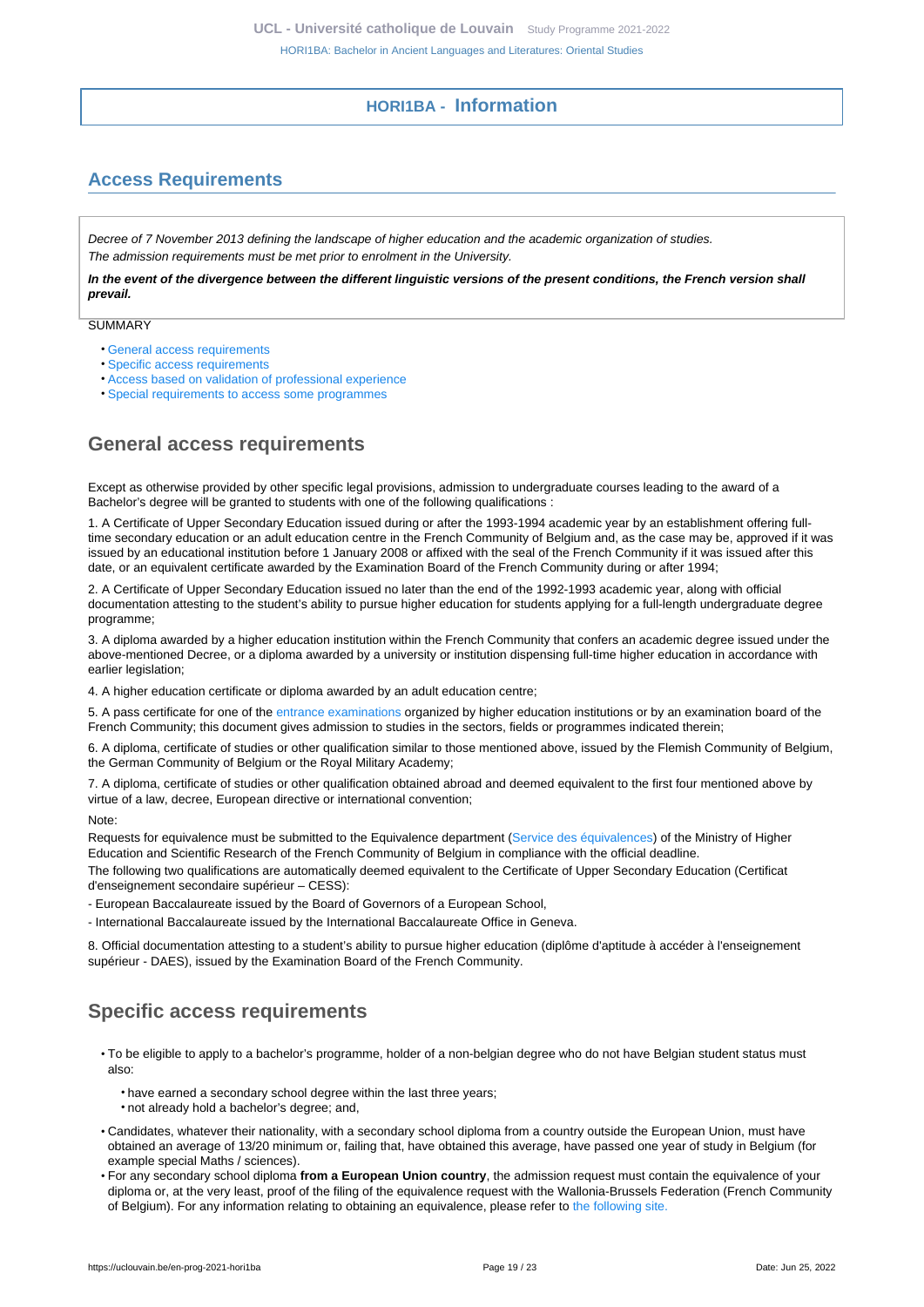# **HORI1BA - Information**

# <span id="page-18-1"></span><span id="page-18-0"></span>**Access Requirements**

Decree of 7 November 2013 defining the landscape of higher education and the academic organization of studies. The admission requirements must be met prior to enrolment in the University.

**In the event of the divergence between the different linguistic versions of the present conditions, the French version shall prevail.**

**SUMMARY** 

- [General access requirements](#page-18-2)
- [Specific access requirements](#page-18-3)
- [Access based on validation of professional experience](#page-19-0)
- [Special requirements to access some programmes](#page-19-1)

# <span id="page-18-2"></span>**General access requirements**

Except as otherwise provided by other specific legal provisions, admission to undergraduate courses leading to the award of a Bachelor's degree will be granted to students with one of the following qualifications :

1. A Certificate of Upper Secondary Education issued during or after the 1993-1994 academic year by an establishment offering fulltime secondary education or an adult education centre in the French Community of Belgium and, as the case may be, approved if it was issued by an educational institution before 1 January 2008 or affixed with the seal of the French Community if it was issued after this date, or an equivalent certificate awarded by the Examination Board of the French Community during or after 1994;

2. A Certificate of Upper Secondary Education issued no later than the end of the 1992-1993 academic year, along with official documentation attesting to the student's ability to pursue higher education for students applying for a full-length undergraduate degree programme;

3. A diploma awarded by a higher education institution within the French Community that confers an academic degree issued under the above-mentioned Decree, or a diploma awarded by a university or institution dispensing full-time higher education in accordance with earlier legislation;

4. A higher education certificate or diploma awarded by an adult education centre;

5. A pass certificate for one of the [entrance examinations](https://uclouvain.be/fr/etudier/inscriptions/examens-admission.html) organized by higher education institutions or by an examination board of the French Community; this document gives admission to studies in the sectors, fields or programmes indicated therein;

6. A diploma, certificate of studies or other qualification similar to those mentioned above, issued by the Flemish Community of Belgium, the German Community of Belgium or the Royal Military Academy;

7. A diploma, certificate of studies or other qualification obtained abroad and deemed equivalent to the first four mentioned above by virtue of a law, decree, European directive or international convention;

Note:

Requests for equivalence must be submitted to the Equivalence department [\(Service des équivalences\)](http://www.equivalences.cfwb.be/) of the Ministry of Higher Education and Scientific Research of the French Community of Belgium in compliance with the official deadline.

The following two qualifications are automatically deemed equivalent to the Certificate of Upper Secondary Education (Certificat d'enseignement secondaire supérieur – CESS):

- European Baccalaureate issued by the Board of Governors of a European School,

- International Baccalaureate issued by the International Baccalaureate Office in Geneva.

8. Official documentation attesting to a student's ability to pursue higher education (diplôme d'aptitude à accéder à l'enseignement supérieur - DAES), issued by the Examination Board of the French Community.

# <span id="page-18-3"></span>**Specific access requirements**

- To be eligible to apply to a bachelor's programme, holder of a non-belgian degree who do not have Belgian student status must also:
	- have earned a secondary school degree within the last three years;
	- not already hold a bachelor's degree; and,
- Candidates, whatever their nationality, with a secondary school diploma from a country outside the European Union, must have obtained an average of 13/20 minimum or, failing that, have obtained this average, have passed one year of study in Belgium (for example special Maths / sciences).
- For any secondary school diploma **from a European Union country**, the admission request must contain the equivalence of your diploma or, at the very least, proof of the filing of the equivalence request with the Wallonia-Brussels Federation (French Community of Belgium). For any information relating to obtaining an equivalence, please refer to [the following site.](http://www.equivalences.cfwb.be/)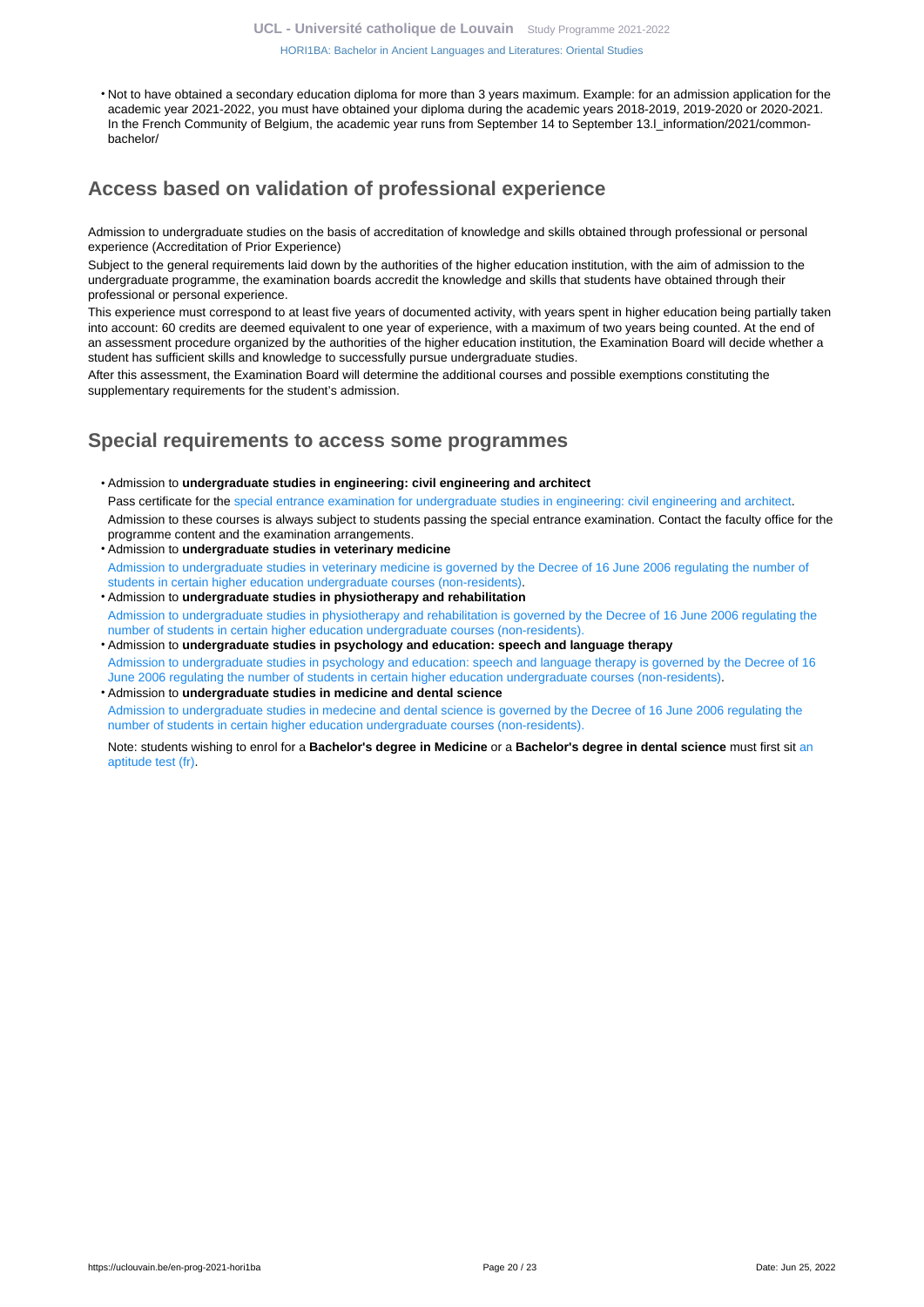[HORI1BA: Bachelor in Ancient Languages and Literatures: Oriental Studies](https://uclouvain.be/en-prog-2021-hori1ba.html)

• Not to have obtained a secondary education diploma for more than 3 years maximum. Example: for an admission application for the academic year 2021-2022, you must have obtained your diploma during the academic years 2018-2019, 2019-2020 or 2020-2021. In the French Community of Belgium, the academic year runs from September 14 to September 13.I\_information/2021/commonbachelor/

# <span id="page-19-0"></span>**Access based on validation of professional experience**

Admission to undergraduate studies on the basis of accreditation of knowledge and skills obtained through professional or personal experience (Accreditation of Prior Experience)

Subject to the general requirements laid down by the authorities of the higher education institution, with the aim of admission to the undergraduate programme, the examination boards accredit the knowledge and skills that students have obtained through their professional or personal experience.

This experience must correspond to at least five years of documented activity, with years spent in higher education being partially taken into account: 60 credits are deemed equivalent to one year of experience, with a maximum of two years being counted. At the end of an assessment procedure organized by the authorities of the higher education institution, the Examination Board will decide whether a student has sufficient skills and knowledge to successfully pursue undergraduate studies.

After this assessment, the Examination Board will determine the additional courses and possible exemptions constituting the supplementary requirements for the student's admission.

# <span id="page-19-1"></span>**Special requirements to access some programmes**

- Admission to **undergraduate studies in engineering: civil engineering and architect** Pass certificate for the [special entrance examination for undergraduate studies in engineering: civil engineering and architect](https://uclouvain.be/fr/facultes/epl/examenadmission.html). Admission to these courses is always subject to students passing the special entrance examination. Contact the faculty office for the programme content and the examination arrangements.
- Admission to **undergraduate studies in veterinary medicine**  [Admission to undergraduate studies in veterinary medicine is governed by the Decree of 16 June 2006 regulating the number of](https://uclouvain.be/en/study/inscriptions/etudes-contingentees.html) [students in certain higher education undergraduate courses \(non-residents\)](https://uclouvain.be/en/study/inscriptions/etudes-contingentees.html).
- Admission to **undergraduate studies in physiotherapy and rehabilitation** [Admission to undergraduate studies in physiotherapy and rehabilitation is governed by the Decree of 16 June 2006 regulating the](https://uclouvain.be/en/study/inscriptions/etudes-contingentees.html) [number of students in certain higher education undergraduate courses \(non-residents\).](https://uclouvain.be/en/study/inscriptions/etudes-contingentees.html)
- Admission to **undergraduate studies in psychology and education: speech and language therapy** [Admission to undergraduate studies in psychology and education: speech and language therapy is governed by the Decree of 16](https://uclouvain.be/en/study/inscriptions/etudes-contingentees.html) [June 2006 regulating the number of students in certain higher education undergraduate courses \(non-residents\).](https://uclouvain.be/en/study/inscriptions/etudes-contingentees.html)
- Admission to **undergraduate studies in medicine and dental science** [Admission to undergraduate studies in medecine and dental science is governed by the Decree of 16 June 2006 regulating the](https://uclouvain.be/en/study/inscriptions/etudes-contingentees.html) [number of students in certain higher education undergraduate courses \(non-residents\).](https://uclouvain.be/en/study/inscriptions/etudes-contingentees.html)

Note: students wishing to enrol for a **Bachelor's degree in Medicine** or a **Bachelor's degree in dental science** must first sit [an](https://uclouvain.be/en/study/inscriptions/etudes-contingentees.html) [aptitude test \(fr\).](https://uclouvain.be/en/study/inscriptions/etudes-contingentees.html)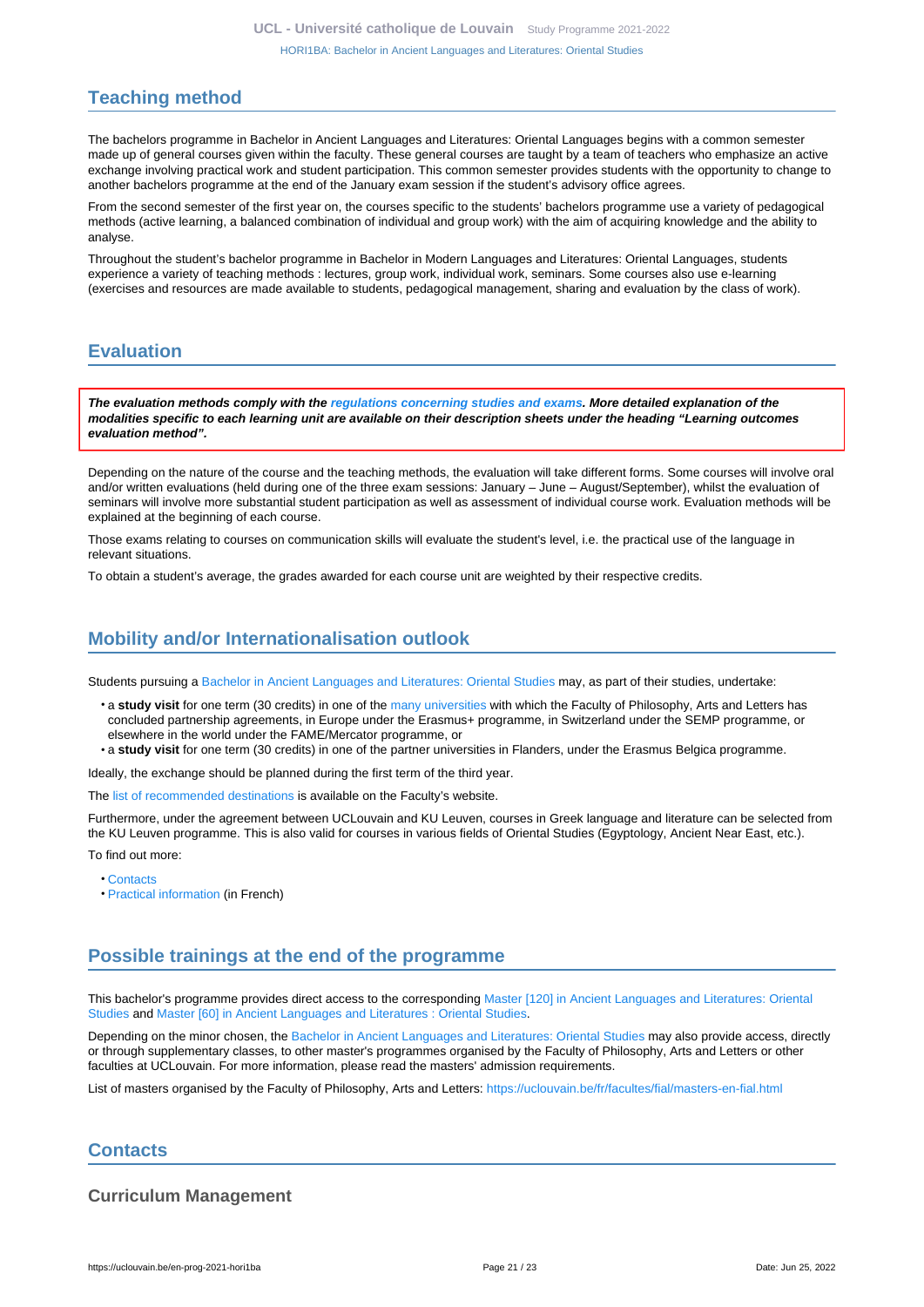# <span id="page-20-0"></span>**Teaching method**

The bachelors programme in Bachelor in Ancient Languages and Literatures: Oriental Languages begins with a common semester made up of general courses given within the faculty. These general courses are taught by a team of teachers who emphasize an active exchange involving practical work and student participation. This common semester provides students with the opportunity to change to another bachelors programme at the end of the January exam session if the student's advisory office agrees.

From the second semester of the first year on, the courses specific to the students' bachelors programme use a variety of pedagogical methods (active learning, a balanced combination of individual and group work) with the aim of acquiring knowledge and the ability to analyse.

Throughout the student's bachelor programme in Bachelor in Modern Languages and Literatures: Oriental Languages, students experience a variety of teaching methods : lectures, group work, individual work, seminars. Some courses also use e-learning (exercises and resources are made available to students, pedagogical management, sharing and evaluation by the class of work).

# <span id="page-20-1"></span>**Evaluation**

**The evaluation methods comply with the [regulations concerning studies and exams](https://uclouvain.be/fr/decouvrir/rgee.html). More detailed explanation of the modalities specific to each learning unit are available on their description sheets under the heading "Learning outcomes evaluation method".**

Depending on the nature of the course and the teaching methods, the evaluation will take different forms. Some courses will involve oral and/or written evaluations (held during one of the three exam sessions: January – June – August/September), whilst the evaluation of seminars will involve more substantial student participation as well as assessment of individual course work. Evaluation methods will be explained at the beginning of each course.

Those exams relating to courses on communication skills will evaluate the student's level, i.e. the practical use of the language in relevant situations.

To obtain a student's average, the grades awarded for each course unit are weighted by their respective credits.

# <span id="page-20-2"></span>**Mobility and/or Internationalisation outlook**

Students pursuing a [Bachelor in Ancient Languages and Literatures: Oriental Studies](https://uclouvain.be/en-prog-2021-hori1ba) may, as part of their studies, undertake:

- a **study visit** for one term (30 credits) in one of the [many universities](https://uclouvain.be/fr/facultes/fial/partenaires-0.html) with which the Faculty of Philosophy, Arts and Letters has concluded partnership agreements, in Europe under the Erasmus+ programme, in Switzerland under the SEMP programme, or elsewhere in the world under the FAME/Mercator programme, or
- a **study visit** for one term (30 credits) in one of the partner universities in Flanders, under the Erasmus Belgica programme.

Ideally, the exchange should be planned during the first term of the third year.

The [list of recommended destinations](https://uclouvain.be/fr/facultes/fial/mobilite-internationale-0-1-2-3-4-5-6-7.html) is available on the Faculty's website.

Furthermore, under the agreement between UCLouvain and KU Leuven, courses in Greek language and literature can be selected from the KU Leuven programme. This is also valid for courses in various fields of Oriental Studies (Egyptology, Ancient Near East, etc.).

To find out more:

- [Contacts](https://uclouvain.be/en/faculties/fial/international-contact.html)
- [Practical information](https://uclouvain.be/fr/facultes/fial/etudiant-fial-en-echange.html) (in French)

# <span id="page-20-3"></span>**Possible trainings at the end of the programme**

This bachelor's programme provides direct access to the corresponding [Master \[120\] in Ancient Languages and Literatures: Oriental](https://uclouvain.be/en-prog-2021-hori2m) [Studies](https://uclouvain.be/en-prog-2021-hori2m) and [Master \[60\] in Ancient Languages and Literatures : Oriental Studies.](https://uclouvain.be/en-prog-2021-hori2m1)

Depending on the minor chosen, the [Bachelor in Ancient Languages and Literatures: Oriental Studies](https://uclouvain.be/en-prog-2021-hori1ba) may also provide access, directly or through supplementary classes, to other master's programmes organised by the Faculty of Philosophy, Arts and Letters or other faculties at UCLouvain. For more information, please read the masters' admission requirements.

List of masters organised by the Faculty of Philosophy, Arts and Letters: <https://uclouvain.be/fr/facultes/fial/masters-en-fial.html>

## <span id="page-20-4"></span>**Contacts**

## **Curriculum Management**